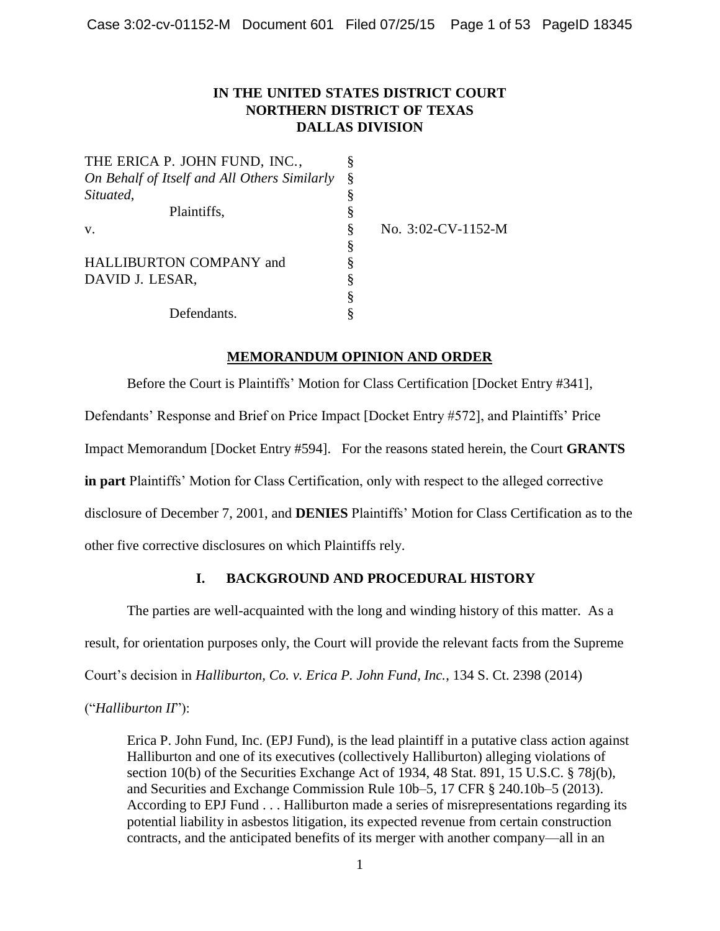## **IN THE UNITED STATES DISTRICT COURT NORTHERN DISTRICT OF TEXAS DALLAS DIVISION**

| THE ERICA P. JOHN FUND, INC.,                |   |                       |
|----------------------------------------------|---|-----------------------|
| On Behalf of Itself and All Others Similarly | Ş |                       |
| Situated,                                    |   |                       |
| Plaintiffs,                                  |   |                       |
| V.                                           | ş | No. $3:02$ -CV-1152-M |
|                                              | ş |                       |
| <b>HALLIBURTON COMPANY and</b>               |   |                       |
| DAVID J. LESAR,                              |   |                       |
|                                              |   |                       |
| Defendants.                                  |   |                       |

**MEMORANDUM OPINION AND ORDER**

Before the Court is Plaintiffs' Motion for Class Certification [Docket Entry #341], Defendants' Response and Brief on Price Impact [Docket Entry #572], and Plaintiffs' Price Impact Memorandum [Docket Entry #594]. For the reasons stated herein, the Court **GRANTS in part** Plaintiffs' Motion for Class Certification, only with respect to the alleged corrective disclosure of December 7, 2001, and **DENIES** Plaintiffs' Motion for Class Certification as to the other five corrective disclosures on which Plaintiffs rely.

# **I. BACKGROUND AND PROCEDURAL HISTORY**

The parties are well-acquainted with the long and winding history of this matter. As a result, for orientation purposes only, the Court will provide the relevant facts from the Supreme Court's decision in *Halliburton, Co. v. Erica P. John Fund, Inc.*, 134 S. Ct. 2398 (2014)

("*Halliburton II*"):

Erica P. John Fund, Inc. (EPJ Fund), is the lead plaintiff in a putative class action against Halliburton and one of its executives (collectively Halliburton) alleging violations of section 10(b) of the Securities Exchange Act of 1934, 48 Stat. 891, 15 U.S.C. § 78j(b), and Securities and Exchange Commission Rule 10b–5, 17 CFR § 240.10b–5 (2013). According to EPJ Fund . . . Halliburton made a series of misrepresentations regarding its potential liability in asbestos litigation, its expected revenue from certain construction contracts, and the anticipated benefits of its merger with another company—all in an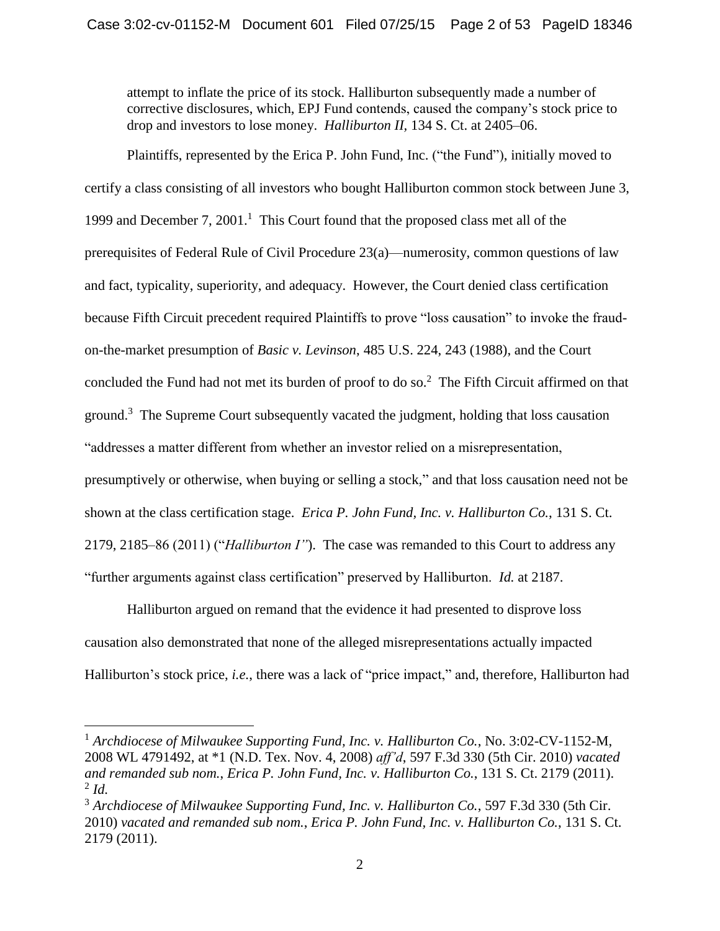attempt to inflate the price of its stock. Halliburton subsequently made a number of corrective disclosures, which, EPJ Fund contends, caused the company's stock price to drop and investors to lose money. *Halliburton II,* 134 S. Ct. at 2405–06.

Plaintiffs, represented by the Erica P. John Fund, Inc. ("the Fund"), initially moved to certify a class consisting of all investors who bought Halliburton common stock between June 3, 1999 and December 7, 2001.<sup>1</sup> This Court found that the proposed class met all of the prerequisites of Federal Rule of Civil Procedure 23(a)—numerosity, common questions of law and fact, typicality, superiority, and adequacy. However, the Court denied class certification because Fifth Circuit precedent required Plaintiffs to prove "loss causation" to invoke the fraudon-the-market presumption of *Basic v. Levinson*, 485 U.S. 224, 243 (1988), and the Court concluded the Fund had not met its burden of proof to do so.<sup>2</sup> The Fifth Circuit affirmed on that ground.<sup>3</sup> The Supreme Court subsequently vacated the judgment, holding that loss causation "addresses a matter different from whether an investor relied on a misrepresentation, presumptively or otherwise, when buying or selling a stock," and that loss causation need not be shown at the class certification stage. *Erica P. John Fund, Inc. v. Halliburton Co.*, 131 S. Ct. 2179, 2185–86 (2011) ("*Halliburton I"*). The case was remanded to this Court to address any "further arguments against class certification" preserved by Halliburton. *Id.* at 2187.

Halliburton argued on remand that the evidence it had presented to disprove loss causation also demonstrated that none of the alleged misrepresentations actually impacted Halliburton's stock price, *i.e.*, there was a lack of "price impact," and, therefore, Halliburton had

<sup>1</sup> *Archdiocese of Milwaukee Supporting Fund, Inc. v. Halliburton Co.*, No. 3:02-CV-1152-M, 2008 WL 4791492, at \*1 (N.D. Tex. Nov. 4, 2008) *aff'd*, 597 F.3d 330 (5th Cir. 2010) *vacated and remanded sub nom.*, *Erica P. John Fund, Inc. v. Halliburton Co.*, 131 S. Ct. 2179 (2011). 2 *Id.*

<sup>3</sup> *Archdiocese of Milwaukee Supporting Fund, Inc. v. Halliburton Co.*, 597 F.3d 330 (5th Cir. 2010) *vacated and remanded sub nom.*, *Erica P. John Fund, Inc. v. Halliburton Co.*, 131 S. Ct. 2179 (2011).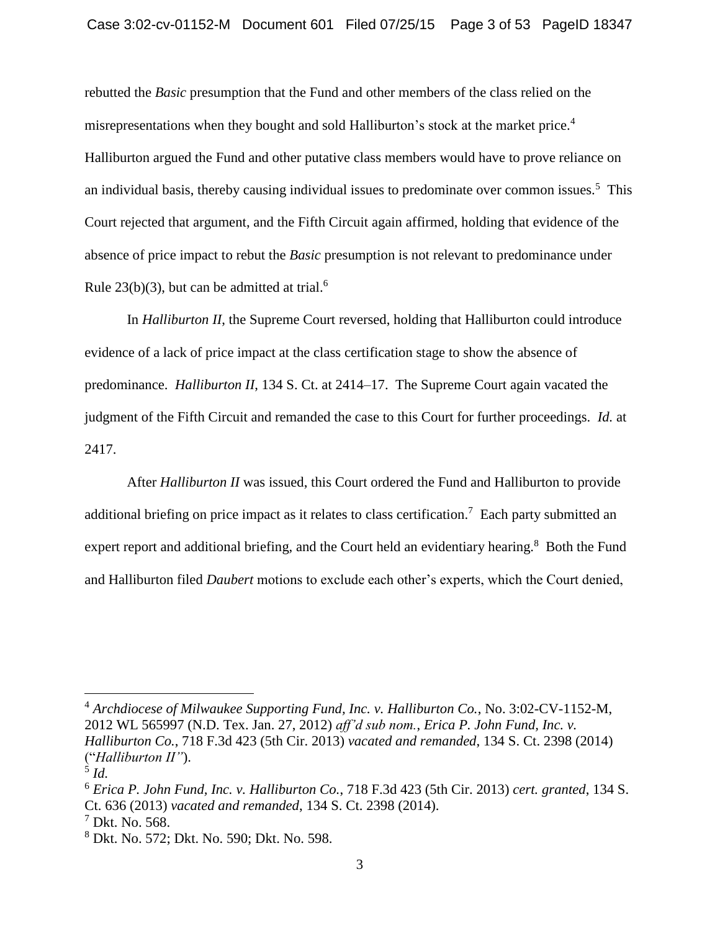rebutted the *Basic* presumption that the Fund and other members of the class relied on the misrepresentations when they bought and sold Halliburton's stock at the market price.<sup>4</sup> Halliburton argued the Fund and other putative class members would have to prove reliance on an individual basis, thereby causing individual issues to predominate over common issues.<sup>5</sup> This Court rejected that argument, and the Fifth Circuit again affirmed, holding that evidence of the absence of price impact to rebut the *Basic* presumption is not relevant to predominance under Rule  $23(b)(3)$ , but can be admitted at trial.<sup>6</sup>

In *Halliburton II*, the Supreme Court reversed, holding that Halliburton could introduce evidence of a lack of price impact at the class certification stage to show the absence of predominance. *Halliburton II*, 134 S. Ct. at 2414–17. The Supreme Court again vacated the judgment of the Fifth Circuit and remanded the case to this Court for further proceedings. *Id.* at 2417.

After *Halliburton II* was issued, this Court ordered the Fund and Halliburton to provide additional briefing on price impact as it relates to class certification.<sup>7</sup> Each party submitted an expert report and additional briefing, and the Court held an evidentiary hearing.<sup>8</sup> Both the Fund and Halliburton filed *Daubert* motions to exclude each other's experts, which the Court denied,

<sup>4</sup> *Archdiocese of Milwaukee Supporting Fund, Inc. v. Halliburton Co.*, No. 3:02-CV-1152-M, 2012 WL 565997 (N.D. Tex. Jan. 27, 2012) *aff'd sub nom.*, *Erica P. John Fund, Inc. v. Halliburton Co.*, 718 F.3d 423 (5th Cir. 2013) *vacated and remanded*, 134 S. Ct. 2398 (2014) ("*Halliburton II"*).

<sup>5</sup> *Id.*

<sup>6</sup> *Erica P. John Fund, Inc. v. Halliburton Co.*, 718 F.3d 423 (5th Cir. 2013) *cert. granted*, 134 S. Ct. 636 (2013) *vacated and remanded*, 134 S. Ct. 2398 (2014).

 $<sup>7</sup>$  Dkt. No. 568.</sup>

<sup>8</sup> Dkt. No. 572; Dkt. No. 590; Dkt. No. 598.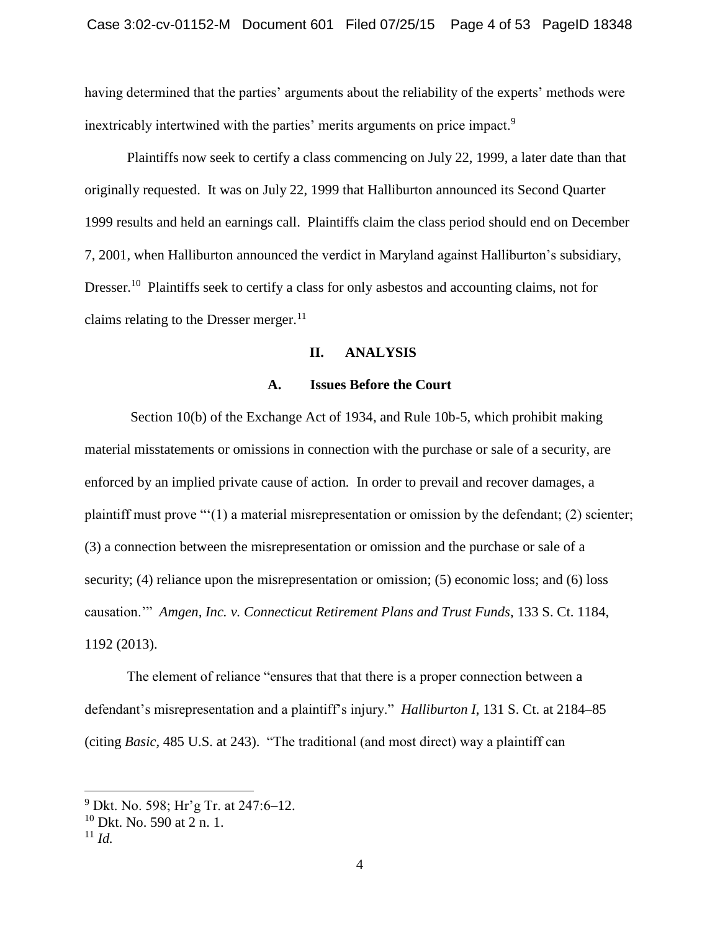having determined that the parties' arguments about the reliability of the experts' methods were inextricably intertwined with the parties' merits arguments on price impact.<sup>9</sup>

Plaintiffs now seek to certify a class commencing on July 22, 1999, a later date than that originally requested. It was on July 22, 1999 that Halliburton announced its Second Quarter 1999 results and held an earnings call. Plaintiffs claim the class period should end on December 7, 2001, when Halliburton announced the verdict in Maryland against Halliburton's subsidiary, Dresser.<sup>10</sup> Plaintiffs seek to certify a class for only asbestos and accounting claims, not for claims relating to the Dresser merger. $^{11}$ 

## **II. ANALYSIS**

## **A. Issues Before the Court**

Section 10(b) of the Exchange Act of 1934, and Rule 10b-5, which prohibit making material misstatements or omissions in connection with the purchase or sale of a security, are enforced by an implied private cause of action*.* In order to prevail and recover damages, a plaintiff must prove "'(1) a material misrepresentation or omission by the defendant; (2) scienter; (3) a connection between the misrepresentation or omission and the purchase or sale of a security; (4) reliance upon the misrepresentation or omission; (5) economic loss; and (6) loss causation.'" *Amgen, Inc. v. Connecticut Retirement Plans and Trust Funds*, 133 S. Ct. 1184, 1192 (2013).

The element of reliance "ensures that that there is a proper connection between a defendant's misrepresentation and a plaintiff's injury." *Halliburton I*, 131 S. Ct. at 2184–85 (citing *Basic,* 485 U.S. at 243). "The traditional (and most direct) way a plaintiff can

 $^{9}$  Dkt. No. 598; Hr'g Tr. at 247:6–12.

<sup>10</sup> Dkt. No. 590 at 2 n. 1.

 $11 \, Id.$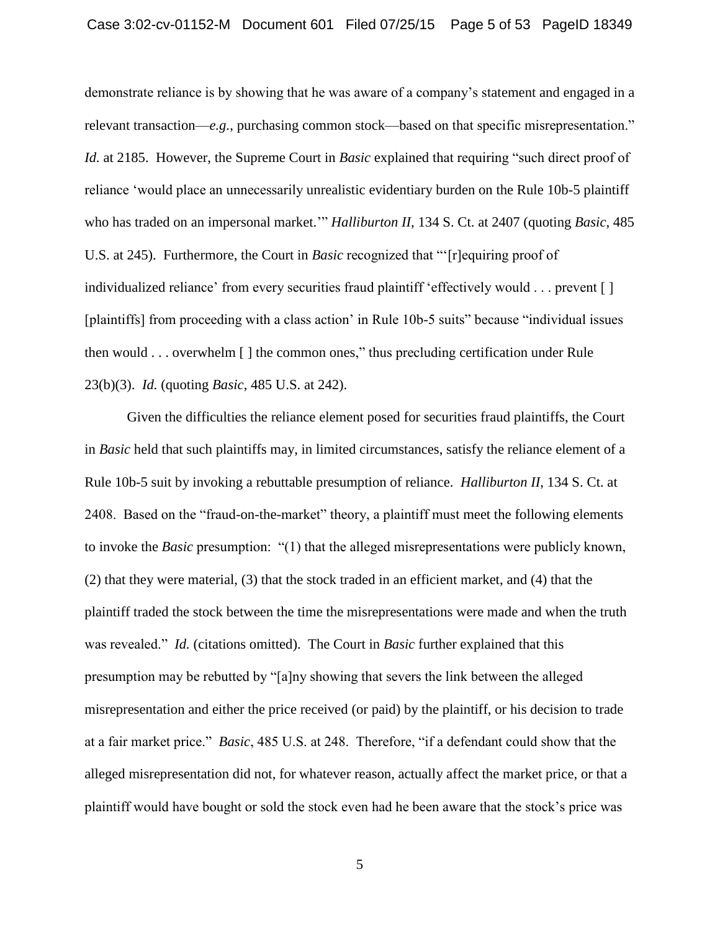demonstrate reliance is by showing that he was aware of a company's statement and engaged in a relevant transaction—*e.g.*, purchasing common stock—based on that specific misrepresentation." *Id.* at 2185. However, the Supreme Court in *Basic* explained that requiring "such direct proof of reliance 'would place an unnecessarily unrealistic evidentiary burden on the Rule 10b-5 plaintiff who has traded on an impersonal market.'" *Halliburton II*, 134 S. Ct. at 2407 (quoting *Basic*, 485 U.S. at 245). Furthermore, the Court in *Basic* recognized that "'[r]equiring proof of individualized reliance' from every securities fraud plaintiff 'effectively would . . . prevent [ ] [plaintiffs] from proceeding with a class action' in Rule 10b-5 suits" because "individual issues then would . . . overwhelm [ ] the common ones," thus precluding certification under Rule 23(b)(3). *Id.* (quoting *Basic*, 485 U.S. at 242).

Given the difficulties the reliance element posed for securities fraud plaintiffs, the Court in *Basic* held that such plaintiffs may, in limited circumstances, satisfy the reliance element of a Rule 10b-5 suit by invoking a rebuttable presumption of reliance. *Halliburton II*, 134 S. Ct. at 2408. Based on the "fraud-on-the-market" theory, a plaintiff must meet the following elements to invoke the *Basic* presumption: "(1) that the alleged misrepresentations were publicly known, (2) that they were material, (3) that the stock traded in an efficient market, and (4) that the plaintiff traded the stock between the time the misrepresentations were made and when the truth was revealed." *Id.* (citations omitted). The Court in *Basic* further explained that this presumption may be rebutted by "[a]ny showing that severs the link between the alleged misrepresentation and either the price received (or paid) by the plaintiff, or his decision to trade at a fair market price." *Basic*, 485 U.S. at 248. Therefore, "if a defendant could show that the alleged misrepresentation did not, for whatever reason, actually affect the market price, or that a plaintiff would have bought or sold the stock even had he been aware that the stock's price was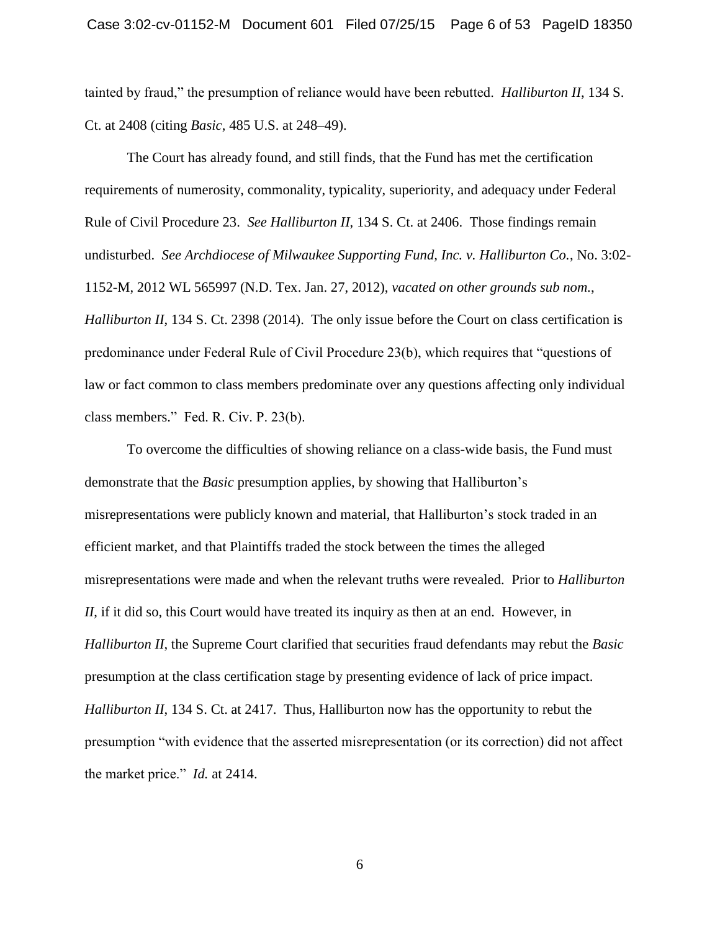tainted by fraud," the presumption of reliance would have been rebutted. *Halliburton II*, 134 S. Ct. at 2408 (citing *Basic*, 485 U.S. at 248–49).

The Court has already found, and still finds, that the Fund has met the certification requirements of numerosity, commonality, typicality, superiority, and adequacy under Federal Rule of Civil Procedure 23. *See Halliburton II*, 134 S. Ct. at 2406. Those findings remain undisturbed. *See Archdiocese of Milwaukee Supporting Fund, Inc. v. Halliburton Co.*, No. 3:02- 1152-M, 2012 WL 565997 (N.D. Tex. Jan. 27, 2012), *vacated on other grounds sub nom.*, *Halliburton II*, 134 S. Ct. 2398 (2014). The only issue before the Court on class certification is predominance under Federal Rule of Civil Procedure 23(b), which requires that "questions of law or fact common to class members predominate over any questions affecting only individual class members." Fed. R. Civ. P. 23(b).

To overcome the difficulties of showing reliance on a class-wide basis, the Fund must demonstrate that the *Basic* presumption applies, by showing that Halliburton's misrepresentations were publicly known and material, that Halliburton's stock traded in an efficient market, and that Plaintiffs traded the stock between the times the alleged misrepresentations were made and when the relevant truths were revealed. Prior to *Halliburton II*, if it did so, this Court would have treated its inquiry as then at an end. However, in *Halliburton II*, the Supreme Court clarified that securities fraud defendants may rebut the *Basic*  presumption at the class certification stage by presenting evidence of lack of price impact. *Halliburton II*, 134 S. Ct. at 2417. Thus, Halliburton now has the opportunity to rebut the presumption "with evidence that the asserted misrepresentation (or its correction) did not affect the market price." *Id.* at 2414.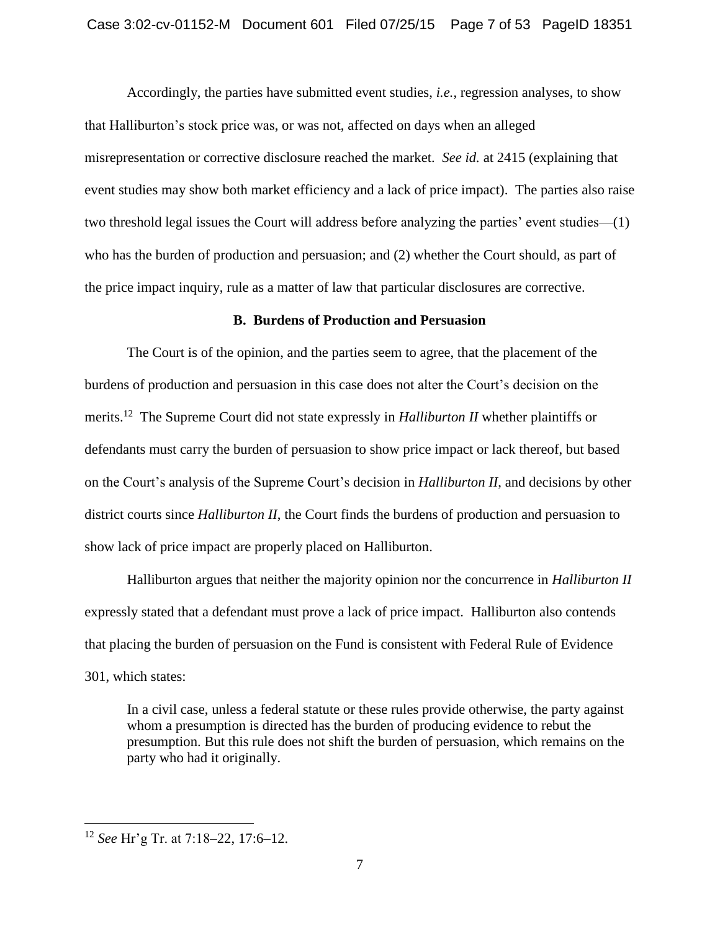Accordingly, the parties have submitted event studies, *i.e.*, regression analyses, to show that Halliburton's stock price was, or was not, affected on days when an alleged misrepresentation or corrective disclosure reached the market. *See id.* at 2415 (explaining that event studies may show both market efficiency and a lack of price impact). The parties also raise two threshold legal issues the Court will address before analyzing the parties' event studies—(1) who has the burden of production and persuasion; and (2) whether the Court should, as part of the price impact inquiry, rule as a matter of law that particular disclosures are corrective.

## **B. Burdens of Production and Persuasion**

The Court is of the opinion, and the parties seem to agree, that the placement of the burdens of production and persuasion in this case does not alter the Court's decision on the merits.<sup>12</sup> The Supreme Court did not state expressly in *Halliburton II* whether plaintiffs or defendants must carry the burden of persuasion to show price impact or lack thereof, but based on the Court's analysis of the Supreme Court's decision in *Halliburton II*, and decisions by other district courts since *Halliburton II*, the Court finds the burdens of production and persuasion to show lack of price impact are properly placed on Halliburton.

Halliburton argues that neither the majority opinion nor the concurrence in *Halliburton II* expressly stated that a defendant must prove a lack of price impact. Halliburton also contends that placing the burden of persuasion on the Fund is consistent with Federal Rule of Evidence 301, which states:

In a civil case, unless a federal statute or these rules provide otherwise, the party against whom a presumption is directed has the burden of producing evidence to rebut the presumption. But this rule does not shift the burden of persuasion, which remains on the party who had it originally.

<sup>12</sup> *See* Hr'g Tr. at 7:18–22, 17:6–12.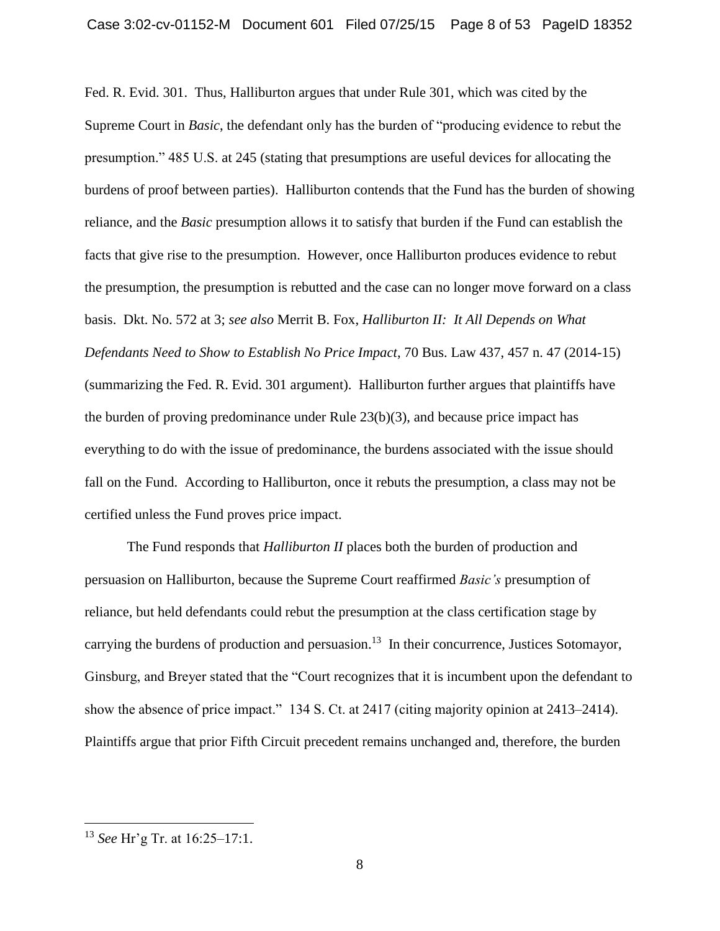Fed. R. Evid. 301. Thus, Halliburton argues that under Rule 301, which was cited by the Supreme Court in *Basic*, the defendant only has the burden of "producing evidence to rebut the presumption." 485 U.S. at 245 (stating that presumptions are useful devices for allocating the burdens of proof between parties). Halliburton contends that the Fund has the burden of showing reliance, and the *Basic* presumption allows it to satisfy that burden if the Fund can establish the facts that give rise to the presumption. However, once Halliburton produces evidence to rebut the presumption, the presumption is rebutted and the case can no longer move forward on a class basis. Dkt. No. 572 at 3; *see also* Merrit B. Fox, *Halliburton II: It All Depends on What Defendants Need to Show to Establish No Price Impact*, 70 Bus. Law 437, 457 n. 47 (2014-15) (summarizing the Fed. R. Evid. 301 argument). Halliburton further argues that plaintiffs have the burden of proving predominance under Rule  $23(b)(3)$ , and because price impact has everything to do with the issue of predominance, the burdens associated with the issue should fall on the Fund. According to Halliburton, once it rebuts the presumption, a class may not be certified unless the Fund proves price impact.

The Fund responds that *Halliburton II* places both the burden of production and persuasion on Halliburton, because the Supreme Court reaffirmed *Basic's* presumption of reliance, but held defendants could rebut the presumption at the class certification stage by carrying the burdens of production and persuasion.<sup>13</sup> In their concurrence, Justices Sotomayor, Ginsburg, and Breyer stated that the "Court recognizes that it is incumbent upon the defendant to show the absence of price impact." 134 S. Ct. at 2417 (citing majority opinion at 2413–2414). Plaintiffs argue that prior Fifth Circuit precedent remains unchanged and, therefore, the burden

<sup>13</sup> *See* Hr'g Tr. at 16:25–17:1.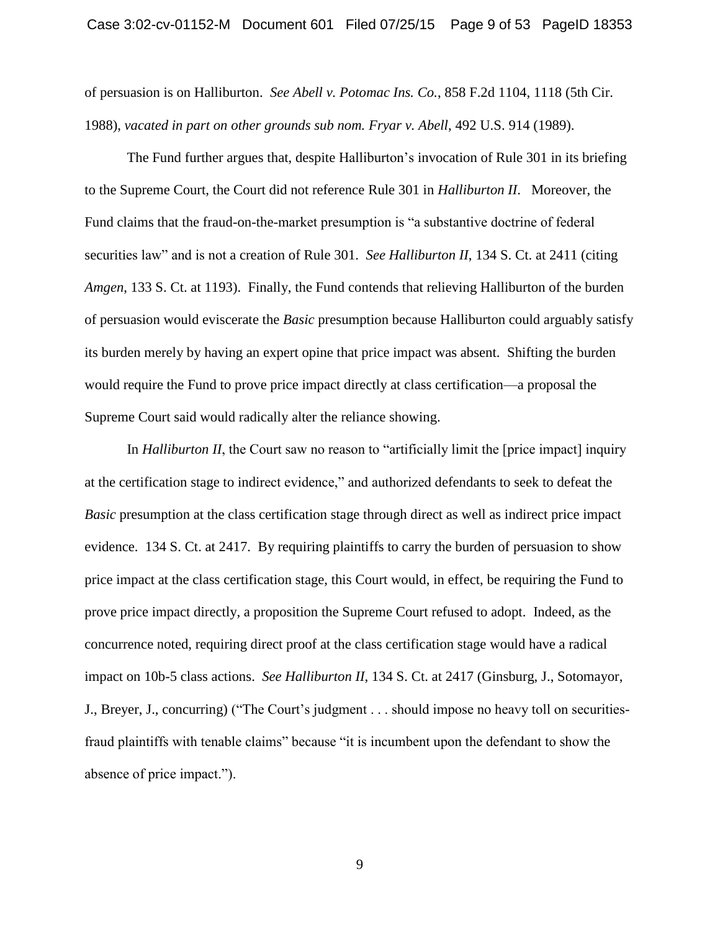of persuasion is on Halliburton. *See Abell v. Potomac Ins. Co.*, 858 F.2d 1104, 1118 (5th Cir. 1988), *vacated in part on other grounds sub nom. Fryar v. Abell*, 492 U.S. 914 (1989).

The Fund further argues that, despite Halliburton's invocation of Rule 301 in its briefing to the Supreme Court, the Court did not reference Rule 301 in *Halliburton II*. Moreover, the Fund claims that the fraud-on-the-market presumption is "a substantive doctrine of federal securities law" and is not a creation of Rule 301. *See Halliburton II*, 134 S. Ct. at 2411 (citing *Amgen*, 133 S. Ct. at 1193). Finally, the Fund contends that relieving Halliburton of the burden of persuasion would eviscerate the *Basic* presumption because Halliburton could arguably satisfy its burden merely by having an expert opine that price impact was absent. Shifting the burden would require the Fund to prove price impact directly at class certification—a proposal the Supreme Court said would radically alter the reliance showing.

In *Halliburton II*, the Court saw no reason to "artificially limit the [price impact] inquiry at the certification stage to indirect evidence," and authorized defendants to seek to defeat the *Basic* presumption at the class certification stage through direct as well as indirect price impact evidence. 134 S. Ct. at 2417. By requiring plaintiffs to carry the burden of persuasion to show price impact at the class certification stage, this Court would, in effect, be requiring the Fund to prove price impact directly, a proposition the Supreme Court refused to adopt. Indeed, as the concurrence noted, requiring direct proof at the class certification stage would have a radical impact on 10b-5 class actions. *See Halliburton II*, 134 S. Ct. at 2417 (Ginsburg, J., Sotomayor, J., Breyer, J., concurring) ("The Court's judgment . . . should impose no heavy toll on securitiesfraud plaintiffs with tenable claims" because "it is incumbent upon the defendant to show the absence of price impact.").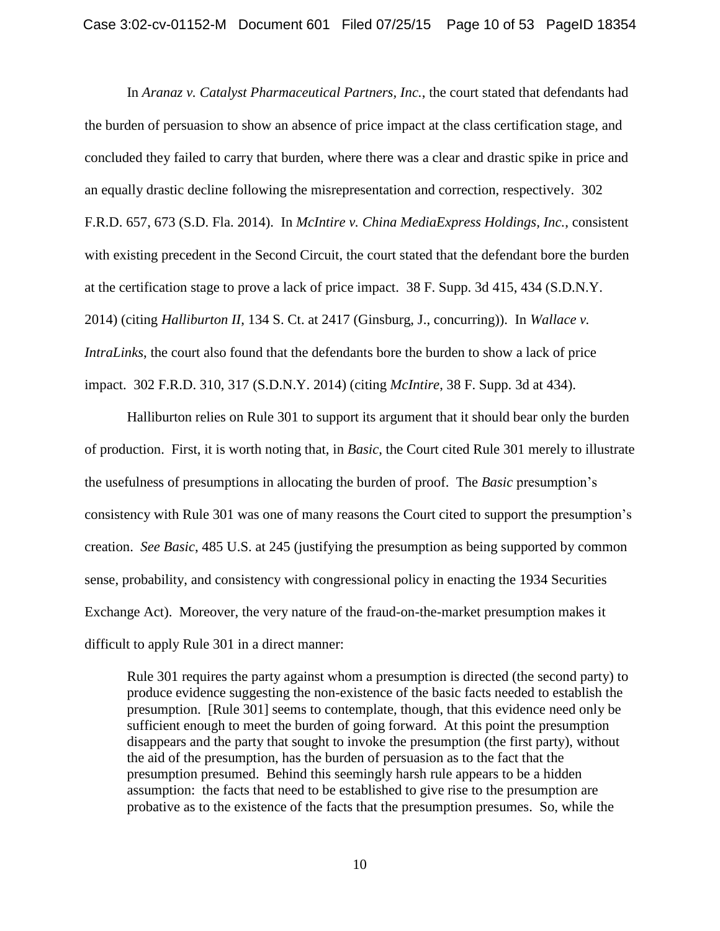In *Aranaz v. Catalyst Pharmaceutical Partners, Inc.*, the court stated that defendants had the burden of persuasion to show an absence of price impact at the class certification stage, and concluded they failed to carry that burden, where there was a clear and drastic spike in price and an equally drastic decline following the misrepresentation and correction, respectively. 302 F.R.D. 657, 673 (S.D. Fla. 2014). In *McIntire v. China MediaExpress Holdings, Inc.*, consistent with existing precedent in the Second Circuit, the court stated that the defendant bore the burden at the certification stage to prove a lack of price impact. 38 F. Supp. 3d 415, 434 (S.D.N.Y. 2014) (citing *Halliburton II*, 134 S. Ct. at 2417 (Ginsburg, J., concurring)). In *Wallace v. IntraLinks*, the court also found that the defendants bore the burden to show a lack of price impact. 302 F.R.D. 310, 317 (S.D.N.Y. 2014) (citing *McIntire*, 38 F. Supp. 3d at 434).

Halliburton relies on Rule 301 to support its argument that it should bear only the burden of production. First, it is worth noting that, in *Basic*, the Court cited Rule 301 merely to illustrate the usefulness of presumptions in allocating the burden of proof. The *Basic* presumption's consistency with Rule 301 was one of many reasons the Court cited to support the presumption's creation. *See Basic*, 485 U.S. at 245 (justifying the presumption as being supported by common sense, probability, and consistency with congressional policy in enacting the 1934 Securities Exchange Act). Moreover, the very nature of the fraud-on-the-market presumption makes it difficult to apply Rule 301 in a direct manner:

Rule 301 requires the party against whom a presumption is directed (the second party) to produce evidence suggesting the non-existence of the basic facts needed to establish the presumption. [Rule 301] seems to contemplate, though, that this evidence need only be sufficient enough to meet the burden of going forward. At this point the presumption disappears and the party that sought to invoke the presumption (the first party), without the aid of the presumption, has the burden of persuasion as to the fact that the presumption presumed. Behind this seemingly harsh rule appears to be a hidden assumption: the facts that need to be established to give rise to the presumption are probative as to the existence of the facts that the presumption presumes. So, while the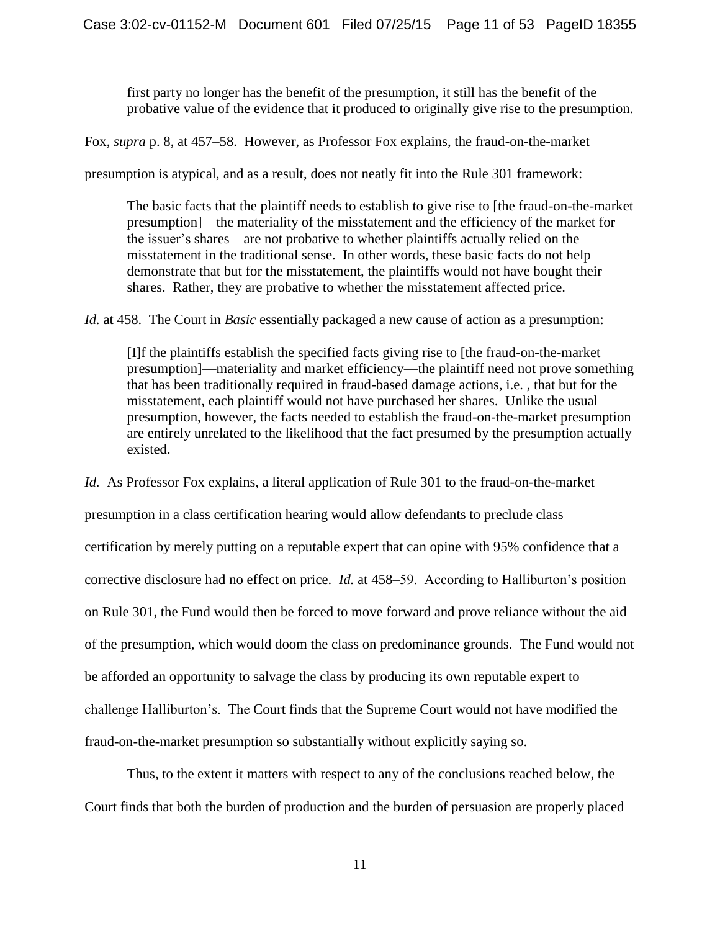first party no longer has the benefit of the presumption, it still has the benefit of the probative value of the evidence that it produced to originally give rise to the presumption.

Fox, *supra* p. 8, at 457–58. However, as Professor Fox explains, the fraud-on-the-market

presumption is atypical, and as a result, does not neatly fit into the Rule 301 framework:

The basic facts that the plaintiff needs to establish to give rise to [the fraud-on-the-market presumption]—the materiality of the misstatement and the efficiency of the market for the issuer's shares—are not probative to whether plaintiffs actually relied on the misstatement in the traditional sense. In other words, these basic facts do not help demonstrate that but for the misstatement, the plaintiffs would not have bought their shares. Rather, they are probative to whether the misstatement affected price.

*Id.* at 458. The Court in *Basic* essentially packaged a new cause of action as a presumption:

[I]f the plaintiffs establish the specified facts giving rise to [the fraud-on-the-market presumption]—materiality and market efficiency—the plaintiff need not prove something that has been traditionally required in fraud-based damage actions, i.e. , that but for the misstatement, each plaintiff would not have purchased her shares. Unlike the usual presumption, however, the facts needed to establish the fraud-on-the-market presumption are entirely unrelated to the likelihood that the fact presumed by the presumption actually existed.

*Id.* As Professor Fox explains, a literal application of Rule 301 to the fraud-on-the-market presumption in a class certification hearing would allow defendants to preclude class certification by merely putting on a reputable expert that can opine with 95% confidence that a corrective disclosure had no effect on price. *Id.* at 458–59. According to Halliburton's position on Rule 301, the Fund would then be forced to move forward and prove reliance without the aid of the presumption, which would doom the class on predominance grounds. The Fund would not be afforded an opportunity to salvage the class by producing its own reputable expert to challenge Halliburton's. The Court finds that the Supreme Court would not have modified the fraud-on-the-market presumption so substantially without explicitly saying so.

Thus, to the extent it matters with respect to any of the conclusions reached below, the Court finds that both the burden of production and the burden of persuasion are properly placed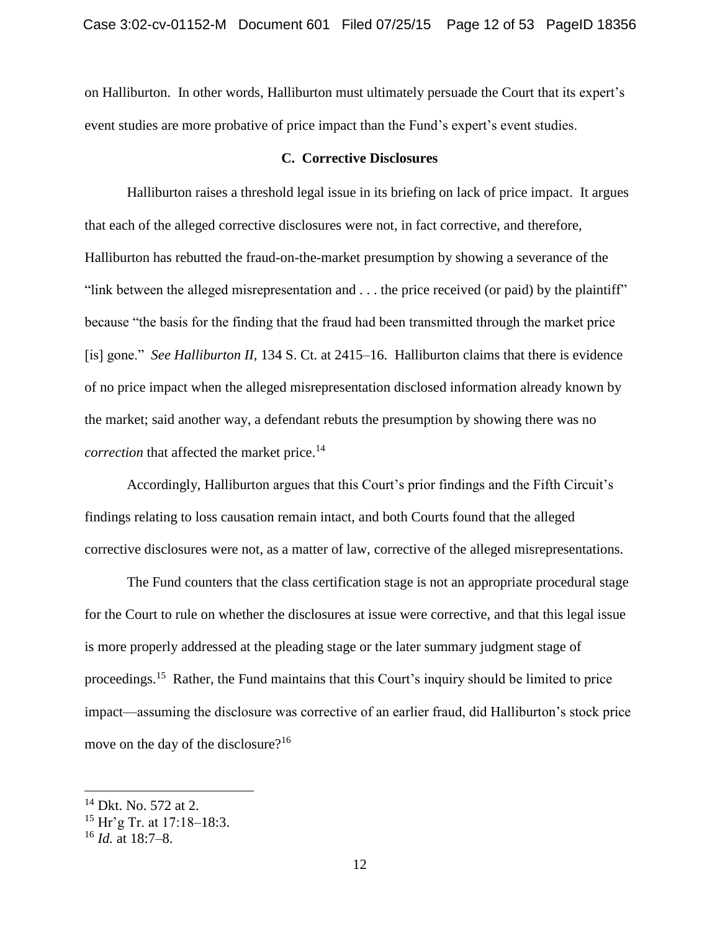on Halliburton. In other words, Halliburton must ultimately persuade the Court that its expert's event studies are more probative of price impact than the Fund's expert's event studies.

## **C. Corrective Disclosures**

Halliburton raises a threshold legal issue in its briefing on lack of price impact. It argues that each of the alleged corrective disclosures were not, in fact corrective, and therefore, Halliburton has rebutted the fraud-on-the-market presumption by showing a severance of the "link between the alleged misrepresentation and . . . the price received (or paid) by the plaintiff" because "the basis for the finding that the fraud had been transmitted through the market price [is] gone." *See Halliburton II*, 134 S. Ct. at 2415–16. Halliburton claims that there is evidence of no price impact when the alleged misrepresentation disclosed information already known by the market; said another way, a defendant rebuts the presumption by showing there was no *correction* that affected the market price. 14

Accordingly, Halliburton argues that this Court's prior findings and the Fifth Circuit's findings relating to loss causation remain intact, and both Courts found that the alleged corrective disclosures were not, as a matter of law, corrective of the alleged misrepresentations.

The Fund counters that the class certification stage is not an appropriate procedural stage for the Court to rule on whether the disclosures at issue were corrective, and that this legal issue is more properly addressed at the pleading stage or the later summary judgment stage of proceedings.<sup>15</sup> Rather, the Fund maintains that this Court's inquiry should be limited to price impact—assuming the disclosure was corrective of an earlier fraud, did Halliburton's stock price move on the day of the disclosure?<sup>16</sup>

<sup>14</sup> Dkt. No. 572 at 2.

<sup>15</sup> Hr'g Tr. at 17:18–18:3.

<sup>16</sup> *Id.* at 18:7–8.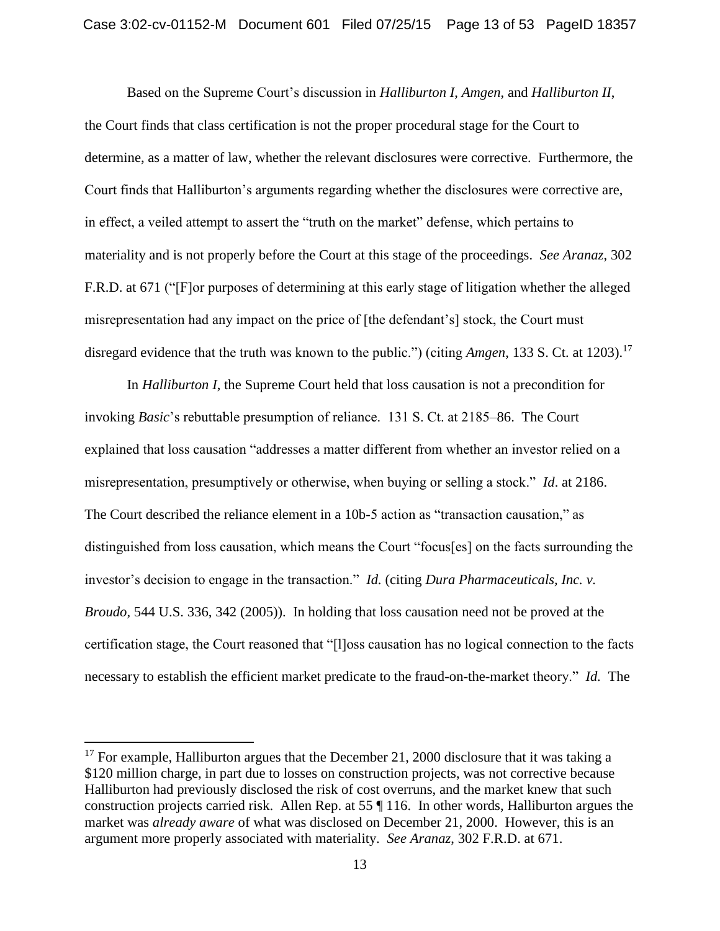Based on the Supreme Court's discussion in *Halliburton I*, *Amgen*, and *Halliburton II*, the Court finds that class certification is not the proper procedural stage for the Court to determine, as a matter of law, whether the relevant disclosures were corrective. Furthermore, the Court finds that Halliburton's arguments regarding whether the disclosures were corrective are, in effect, a veiled attempt to assert the "truth on the market" defense, which pertains to materiality and is not properly before the Court at this stage of the proceedings. *See Aranaz*, 302 F.R.D. at 671 ("[F]or purposes of determining at this early stage of litigation whether the alleged misrepresentation had any impact on the price of [the defendant's] stock, the Court must disregard evidence that the truth was known to the public.") (citing *Amgen*, 133 S. Ct. at 1203). 17

In *Halliburton I*, the Supreme Court held that loss causation is not a precondition for invoking *Basic*'s rebuttable presumption of reliance. 131 S. Ct. at 2185–86. The Court explained that loss causation "addresses a matter different from whether an investor relied on a misrepresentation, presumptively or otherwise, when buying or selling a stock." *Id*. at 2186. The Court described the reliance element in a 10b-5 action as "transaction causation," as distinguished from loss causation, which means the Court "focus[es] on the facts surrounding the investor's decision to engage in the transaction." *Id.* (citing *Dura Pharmaceuticals, Inc. v. Broudo*, 544 U.S. 336, 342 (2005)). In holding that loss causation need not be proved at the certification stage, the Court reasoned that "[l]oss causation has no logical connection to the facts necessary to establish the efficient market predicate to the fraud-on-the-market theory." *Id.* The

 $17$  For example, Halliburton argues that the December 21, 2000 disclosure that it was taking a \$120 million charge, in part due to losses on construction projects, was not corrective because Halliburton had previously disclosed the risk of cost overruns, and the market knew that such construction projects carried risk. Allen Rep. at 55 ¶ 116. In other words, Halliburton argues the market was *already aware* of what was disclosed on December 21, 2000. However, this is an argument more properly associated with materiality. *See Aranaz*, 302 F.R.D. at 671.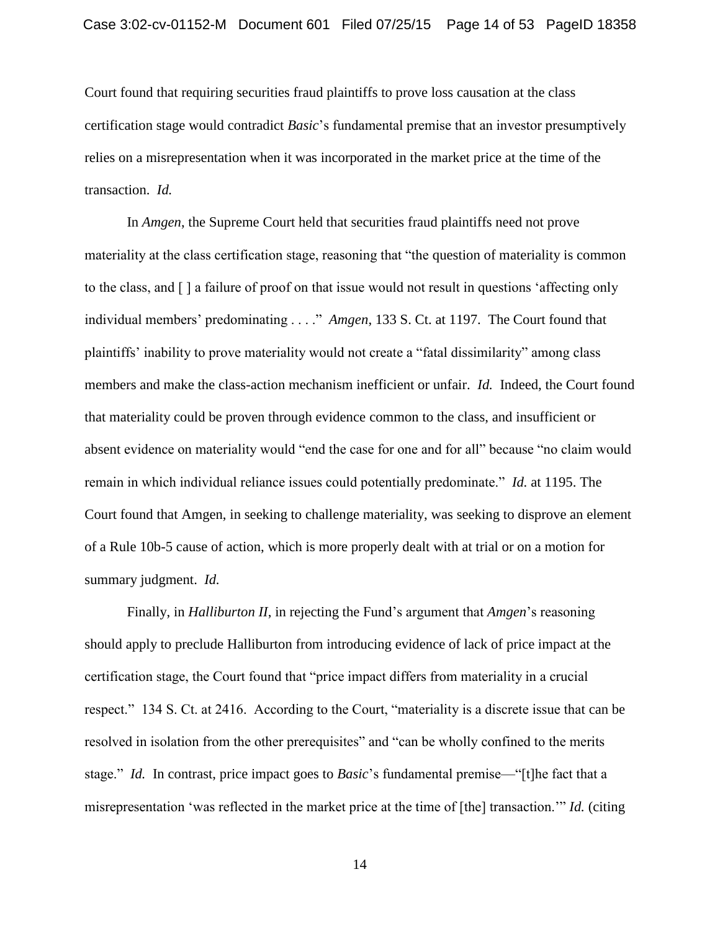Court found that requiring securities fraud plaintiffs to prove loss causation at the class certification stage would contradict *Basic*'s fundamental premise that an investor presumptively relies on a misrepresentation when it was incorporated in the market price at the time of the transaction. *Id.*

In *Amgen*, the Supreme Court held that securities fraud plaintiffs need not prove materiality at the class certification stage, reasoning that "the question of materiality is common to the class, and [ ] a failure of proof on that issue would not result in questions 'affecting only individual members' predominating . . . ." *Amgen*, 133 S. Ct. at 1197. The Court found that plaintiffs' inability to prove materiality would not create a "fatal dissimilarity" among class members and make the class-action mechanism inefficient or unfair. *Id.* Indeed, the Court found that materiality could be proven through evidence common to the class, and insufficient or absent evidence on materiality would "end the case for one and for all" because "no claim would remain in which individual reliance issues could potentially predominate." *Id.* at 1195. The Court found that Amgen, in seeking to challenge materiality, was seeking to disprove an element of a Rule 10b-5 cause of action, which is more properly dealt with at trial or on a motion for summary judgment. *Id.*

Finally, in *Halliburton II*, in rejecting the Fund's argument that *Amgen*'s reasoning should apply to preclude Halliburton from introducing evidence of lack of price impact at the certification stage, the Court found that "price impact differs from materiality in a crucial respect." 134 S. Ct. at 2416. According to the Court, "materiality is a discrete issue that can be resolved in isolation from the other prerequisites" and "can be wholly confined to the merits stage." *Id.* In contrast, price impact goes to *Basic*'s fundamental premise—"[t]he fact that a misrepresentation 'was reflected in the market price at the time of [the] transaction.'" *Id.* (citing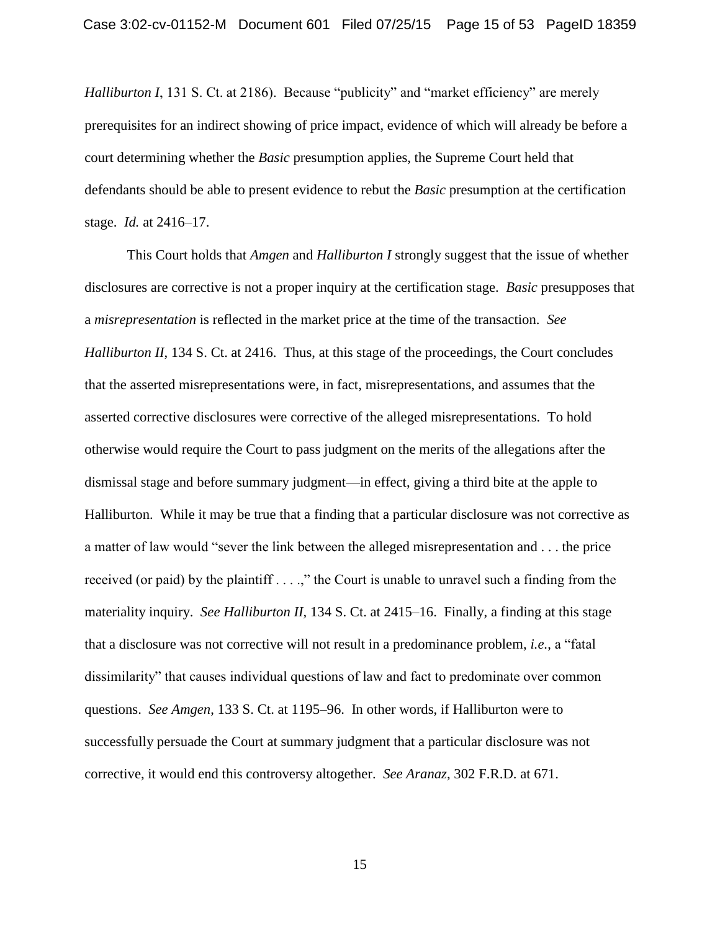*Halliburton I*, 131 S. Ct. at 2186). Because "publicity" and "market efficiency" are merely prerequisites for an indirect showing of price impact, evidence of which will already be before a court determining whether the *Basic* presumption applies, the Supreme Court held that defendants should be able to present evidence to rebut the *Basic* presumption at the certification stage. *Id.* at 2416–17.

This Court holds that *Amgen* and *Halliburton I* strongly suggest that the issue of whether disclosures are corrective is not a proper inquiry at the certification stage. *Basic* presupposes that a *misrepresentation* is reflected in the market price at the time of the transaction. *See Halliburton II*, 134 S. Ct. at 2416. Thus, at this stage of the proceedings, the Court concludes that the asserted misrepresentations were, in fact, misrepresentations, and assumes that the asserted corrective disclosures were corrective of the alleged misrepresentations. To hold otherwise would require the Court to pass judgment on the merits of the allegations after the dismissal stage and before summary judgment—in effect, giving a third bite at the apple to Halliburton. While it may be true that a finding that a particular disclosure was not corrective as a matter of law would "sever the link between the alleged misrepresentation and . . . the price received (or paid) by the plaintiff . . . .," the Court is unable to unravel such a finding from the materiality inquiry. *See Halliburton II*, 134 S. Ct. at 2415–16. Finally, a finding at this stage that a disclosure was not corrective will not result in a predominance problem, *i.e.*, a "fatal dissimilarity" that causes individual questions of law and fact to predominate over common questions. *See Amgen*, 133 S. Ct. at 1195–96. In other words, if Halliburton were to successfully persuade the Court at summary judgment that a particular disclosure was not corrective, it would end this controversy altogether. *See Aranaz*, 302 F.R.D. at 671.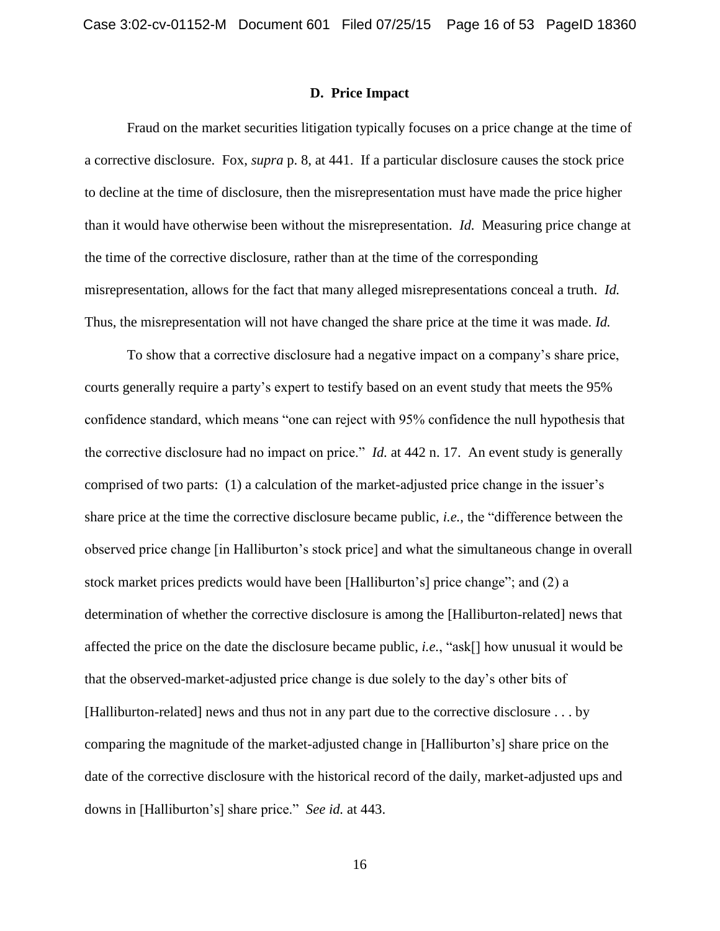#### **D. Price Impact**

Fraud on the market securities litigation typically focuses on a price change at the time of a corrective disclosure. Fox, *supra* p. 8, at 441. If a particular disclosure causes the stock price to decline at the time of disclosure, then the misrepresentation must have made the price higher than it would have otherwise been without the misrepresentation. *Id.* Measuring price change at the time of the corrective disclosure, rather than at the time of the corresponding misrepresentation, allows for the fact that many alleged misrepresentations conceal a truth. *Id.* Thus, the misrepresentation will not have changed the share price at the time it was made. *Id.*

To show that a corrective disclosure had a negative impact on a company's share price, courts generally require a party's expert to testify based on an event study that meets the 95% confidence standard, which means "one can reject with 95% confidence the null hypothesis that the corrective disclosure had no impact on price." *Id.* at 442 n. 17. An event study is generally comprised of two parts: (1) a calculation of the market-adjusted price change in the issuer's share price at the time the corrective disclosure became public, *i.e.*, the "difference between the observed price change [in Halliburton's stock price] and what the simultaneous change in overall stock market prices predicts would have been [Halliburton's] price change"; and (2) a determination of whether the corrective disclosure is among the [Halliburton-related] news that affected the price on the date the disclosure became public, *i.e.*, "ask[] how unusual it would be that the observed-market-adjusted price change is due solely to the day's other bits of [Halliburton-related] news and thus not in any part due to the corrective disclosure . . . by comparing the magnitude of the market-adjusted change in [Halliburton's] share price on the date of the corrective disclosure with the historical record of the daily, market-adjusted ups and downs in [Halliburton's] share price." *See id.* at 443.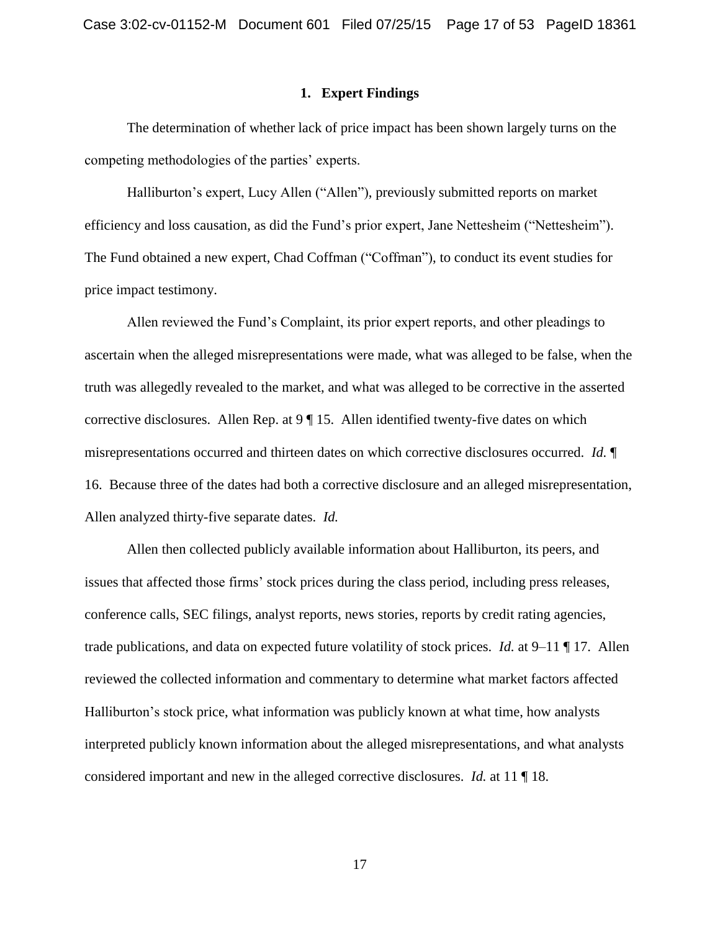## **1. Expert Findings**

The determination of whether lack of price impact has been shown largely turns on the competing methodologies of the parties' experts.

Halliburton's expert, Lucy Allen ("Allen"), previously submitted reports on market efficiency and loss causation, as did the Fund's prior expert, Jane Nettesheim ("Nettesheim"). The Fund obtained a new expert, Chad Coffman ("Coffman"), to conduct its event studies for price impact testimony.

Allen reviewed the Fund's Complaint, its prior expert reports, and other pleadings to ascertain when the alleged misrepresentations were made, what was alleged to be false, when the truth was allegedly revealed to the market, and what was alleged to be corrective in the asserted corrective disclosures. Allen Rep. at 9 ¶ 15. Allen identified twenty-five dates on which misrepresentations occurred and thirteen dates on which corrective disclosures occurred. *Id.* ¶ 16. Because three of the dates had both a corrective disclosure and an alleged misrepresentation, Allen analyzed thirty-five separate dates. *Id.*

Allen then collected publicly available information about Halliburton, its peers, and issues that affected those firms' stock prices during the class period, including press releases, conference calls, SEC filings, analyst reports, news stories, reports by credit rating agencies, trade publications, and data on expected future volatility of stock prices. *Id.* at 9–11 ¶ 17. Allen reviewed the collected information and commentary to determine what market factors affected Halliburton's stock price, what information was publicly known at what time, how analysts interpreted publicly known information about the alleged misrepresentations, and what analysts considered important and new in the alleged corrective disclosures. *Id.* at 11 ¶ 18.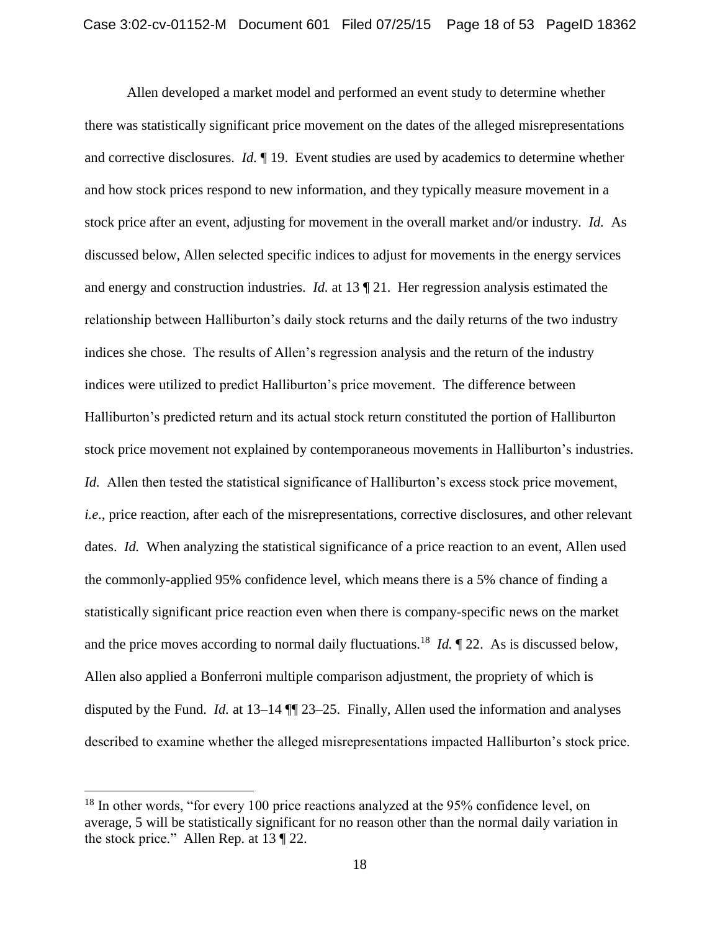Allen developed a market model and performed an event study to determine whether there was statistically significant price movement on the dates of the alleged misrepresentations and corrective disclosures. *Id.* ¶ 19. Event studies are used by academics to determine whether and how stock prices respond to new information, and they typically measure movement in a stock price after an event, adjusting for movement in the overall market and/or industry. *Id.* As discussed below, Allen selected specific indices to adjust for movements in the energy services and energy and construction industries. *Id.* at 13 ¶ 21. Her regression analysis estimated the relationship between Halliburton's daily stock returns and the daily returns of the two industry indices she chose. The results of Allen's regression analysis and the return of the industry indices were utilized to predict Halliburton's price movement. The difference between Halliburton's predicted return and its actual stock return constituted the portion of Halliburton stock price movement not explained by contemporaneous movements in Halliburton's industries. *Id.* Allen then tested the statistical significance of Halliburton's excess stock price movement, *i.e.*, price reaction, after each of the misrepresentations, corrective disclosures, and other relevant dates. *Id.* When analyzing the statistical significance of a price reaction to an event, Allen used the commonly-applied 95% confidence level, which means there is a 5% chance of finding a statistically significant price reaction even when there is company-specific news on the market and the price moves according to normal daily fluctuations.<sup>18</sup> *Id.*  $\P$  22. As is discussed below, Allen also applied a Bonferroni multiple comparison adjustment, the propriety of which is disputed by the Fund. *Id.* at 13–14 ¶¶ 23–25. Finally, Allen used the information and analyses described to examine whether the alleged misrepresentations impacted Halliburton's stock price.

<sup>&</sup>lt;sup>18</sup> In other words, "for every 100 price reactions analyzed at the 95% confidence level, on average, 5 will be statistically significant for no reason other than the normal daily variation in the stock price." Allen Rep. at 13 ¶ 22.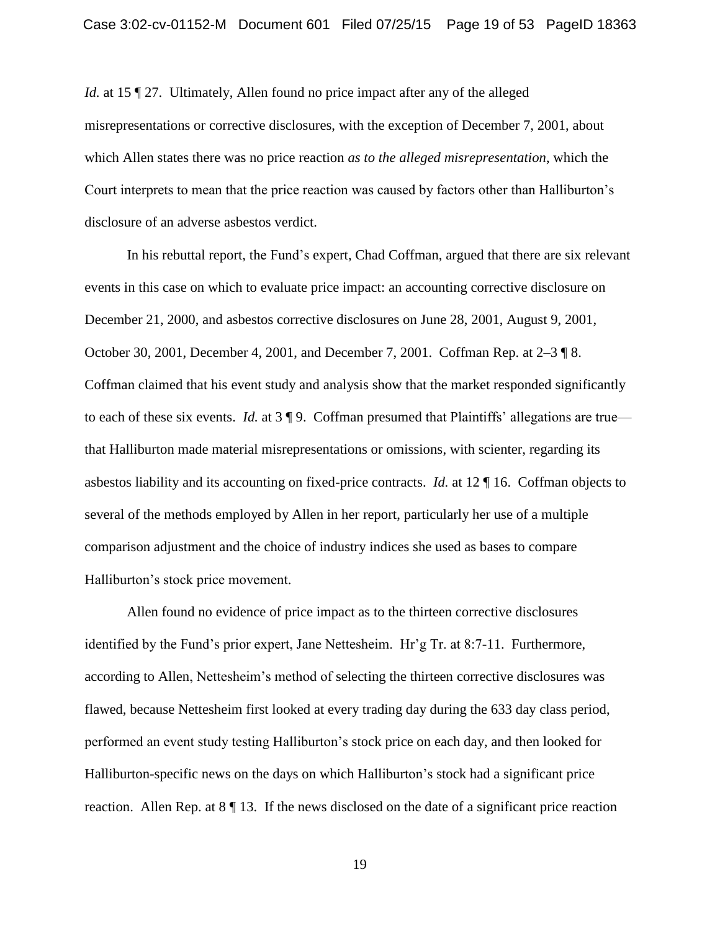*Id.* at 15 [9] 27. Ultimately, Allen found no price impact after any of the alleged misrepresentations or corrective disclosures, with the exception of December 7, 2001, about which Allen states there was no price reaction *as to the alleged misrepresentation*, which the Court interprets to mean that the price reaction was caused by factors other than Halliburton's disclosure of an adverse asbestos verdict.

In his rebuttal report, the Fund's expert, Chad Coffman, argued that there are six relevant events in this case on which to evaluate price impact: an accounting corrective disclosure on December 21, 2000, and asbestos corrective disclosures on June 28, 2001, August 9, 2001, October 30, 2001, December 4, 2001, and December 7, 2001. Coffman Rep. at 2–3 ¶ 8. Coffman claimed that his event study and analysis show that the market responded significantly to each of these six events. *Id.* at 3 ¶ 9. Coffman presumed that Plaintiffs' allegations are true that Halliburton made material misrepresentations or omissions, with scienter, regarding its asbestos liability and its accounting on fixed-price contracts. *Id.* at 12 ¶ 16. Coffman objects to several of the methods employed by Allen in her report, particularly her use of a multiple comparison adjustment and the choice of industry indices she used as bases to compare Halliburton's stock price movement.

Allen found no evidence of price impact as to the thirteen corrective disclosures identified by the Fund's prior expert, Jane Nettesheim. Hr'g Tr. at 8:7-11. Furthermore, according to Allen, Nettesheim's method of selecting the thirteen corrective disclosures was flawed, because Nettesheim first looked at every trading day during the 633 day class period, performed an event study testing Halliburton's stock price on each day, and then looked for Halliburton-specific news on the days on which Halliburton's stock had a significant price reaction. Allen Rep. at  $8 \parallel 13$ . If the news disclosed on the date of a significant price reaction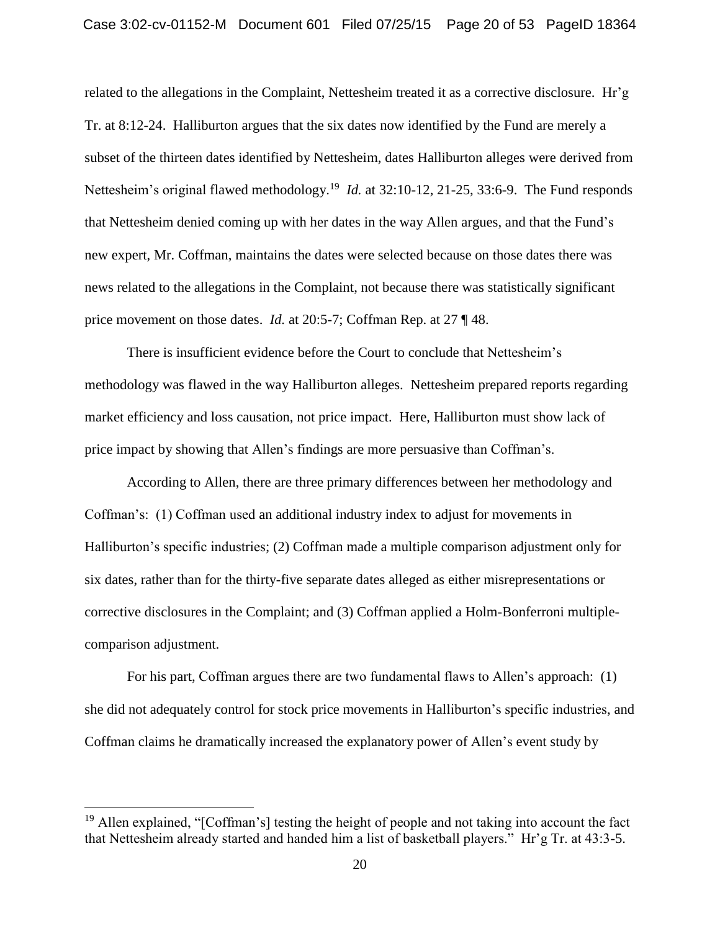related to the allegations in the Complaint, Nettesheim treated it as a corrective disclosure. Hr'g Tr. at 8:12-24. Halliburton argues that the six dates now identified by the Fund are merely a subset of the thirteen dates identified by Nettesheim, dates Halliburton alleges were derived from Nettesheim's original flawed methodology.<sup>19</sup> *Id.* at 32:10-12, 21-25, 33:6-9. The Fund responds that Nettesheim denied coming up with her dates in the way Allen argues, and that the Fund's new expert, Mr. Coffman, maintains the dates were selected because on those dates there was news related to the allegations in the Complaint, not because there was statistically significant price movement on those dates. *Id.* at 20:5-7; Coffman Rep. at 27 ¶ 48.

There is insufficient evidence before the Court to conclude that Nettesheim's methodology was flawed in the way Halliburton alleges. Nettesheim prepared reports regarding market efficiency and loss causation, not price impact. Here, Halliburton must show lack of price impact by showing that Allen's findings are more persuasive than Coffman's.

According to Allen, there are three primary differences between her methodology and Coffman's: (1) Coffman used an additional industry index to adjust for movements in Halliburton's specific industries; (2) Coffman made a multiple comparison adjustment only for six dates, rather than for the thirty-five separate dates alleged as either misrepresentations or corrective disclosures in the Complaint; and (3) Coffman applied a Holm-Bonferroni multiplecomparison adjustment.

For his part, Coffman argues there are two fundamental flaws to Allen's approach: (1) she did not adequately control for stock price movements in Halliburton's specific industries, and Coffman claims he dramatically increased the explanatory power of Allen's event study by

<sup>&</sup>lt;sup>19</sup> Allen explained, "[Coffman's] testing the height of people and not taking into account the fact that Nettesheim already started and handed him a list of basketball players." Hr'g Tr. at 43:3-5.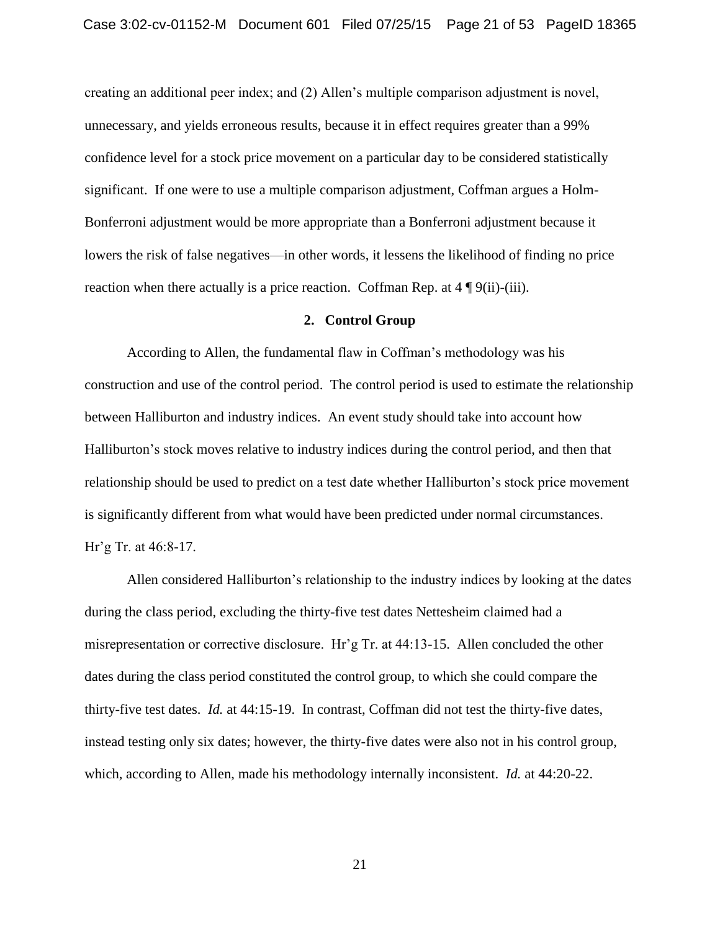creating an additional peer index; and (2) Allen's multiple comparison adjustment is novel, unnecessary, and yields erroneous results, because it in effect requires greater than a 99% confidence level for a stock price movement on a particular day to be considered statistically significant. If one were to use a multiple comparison adjustment, Coffman argues a Holm-Bonferroni adjustment would be more appropriate than a Bonferroni adjustment because it lowers the risk of false negatives—in other words, it lessens the likelihood of finding no price reaction when there actually is a price reaction. Coffman Rep. at  $4 \sqrt{\frac{9}{ii}}$ -(iii).

## **2. Control Group**

According to Allen, the fundamental flaw in Coffman's methodology was his construction and use of the control period. The control period is used to estimate the relationship between Halliburton and industry indices. An event study should take into account how Halliburton's stock moves relative to industry indices during the control period, and then that relationship should be used to predict on a test date whether Halliburton's stock price movement is significantly different from what would have been predicted under normal circumstances. Hr'g Tr. at 46:8-17.

Allen considered Halliburton's relationship to the industry indices by looking at the dates during the class period, excluding the thirty-five test dates Nettesheim claimed had a misrepresentation or corrective disclosure. Hr'g Tr. at 44:13-15. Allen concluded the other dates during the class period constituted the control group, to which she could compare the thirty-five test dates. *Id.* at 44:15-19. In contrast, Coffman did not test the thirty-five dates, instead testing only six dates; however, the thirty-five dates were also not in his control group, which, according to Allen, made his methodology internally inconsistent. *Id.* at 44:20-22.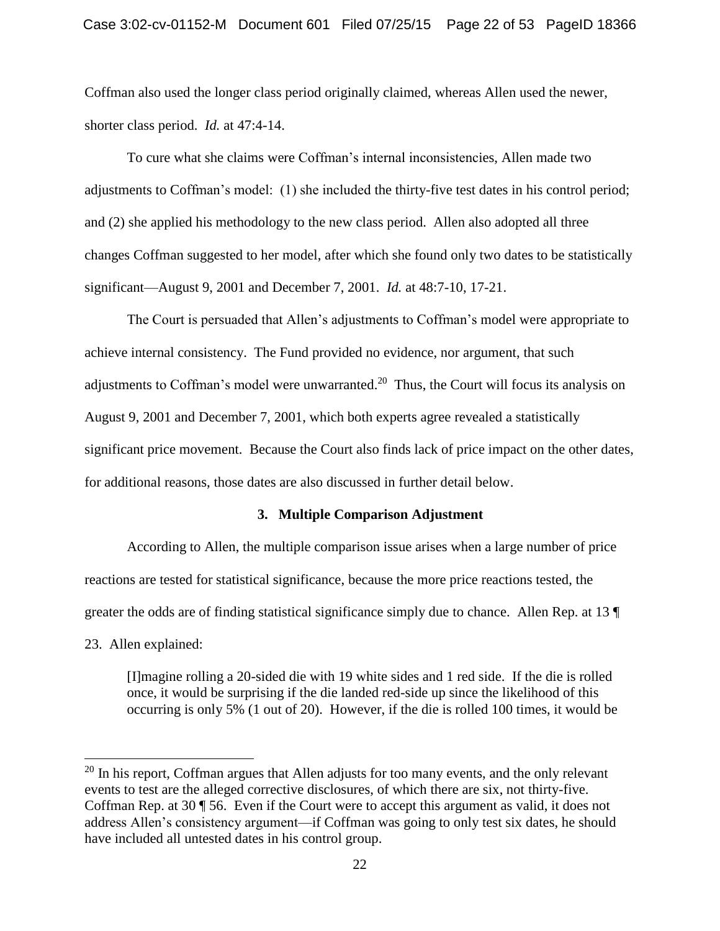Coffman also used the longer class period originally claimed, whereas Allen used the newer, shorter class period. *Id.* at 47:4-14.

To cure what she claims were Coffman's internal inconsistencies, Allen made two adjustments to Coffman's model: (1) she included the thirty-five test dates in his control period; and (2) she applied his methodology to the new class period. Allen also adopted all three changes Coffman suggested to her model, after which she found only two dates to be statistically significant—August 9, 2001 and December 7, 2001. *Id.* at 48:7-10, 17-21.

The Court is persuaded that Allen's adjustments to Coffman's model were appropriate to achieve internal consistency. The Fund provided no evidence, nor argument, that such adjustments to Coffman's model were unwarranted.<sup>20</sup> Thus, the Court will focus its analysis on August 9, 2001 and December 7, 2001, which both experts agree revealed a statistically significant price movement. Because the Court also finds lack of price impact on the other dates, for additional reasons, those dates are also discussed in further detail below.

## **3. Multiple Comparison Adjustment**

According to Allen, the multiple comparison issue arises when a large number of price reactions are tested for statistical significance, because the more price reactions tested, the greater the odds are of finding statistical significance simply due to chance. Allen Rep. at 13 ¶

23. Allen explained:

 $\overline{a}$ 

[I]magine rolling a 20-sided die with 19 white sides and 1 red side. If the die is rolled once, it would be surprising if the die landed red-side up since the likelihood of this occurring is only 5% (1 out of 20). However, if the die is rolled 100 times, it would be

<sup>&</sup>lt;sup>20</sup> In his report, Coffman argues that Allen adjusts for too many events, and the only relevant events to test are the alleged corrective disclosures, of which there are six, not thirty-five. Coffman Rep. at 30 ¶ 56. Even if the Court were to accept this argument as valid, it does not address Allen's consistency argument—if Coffman was going to only test six dates, he should have included all untested dates in his control group.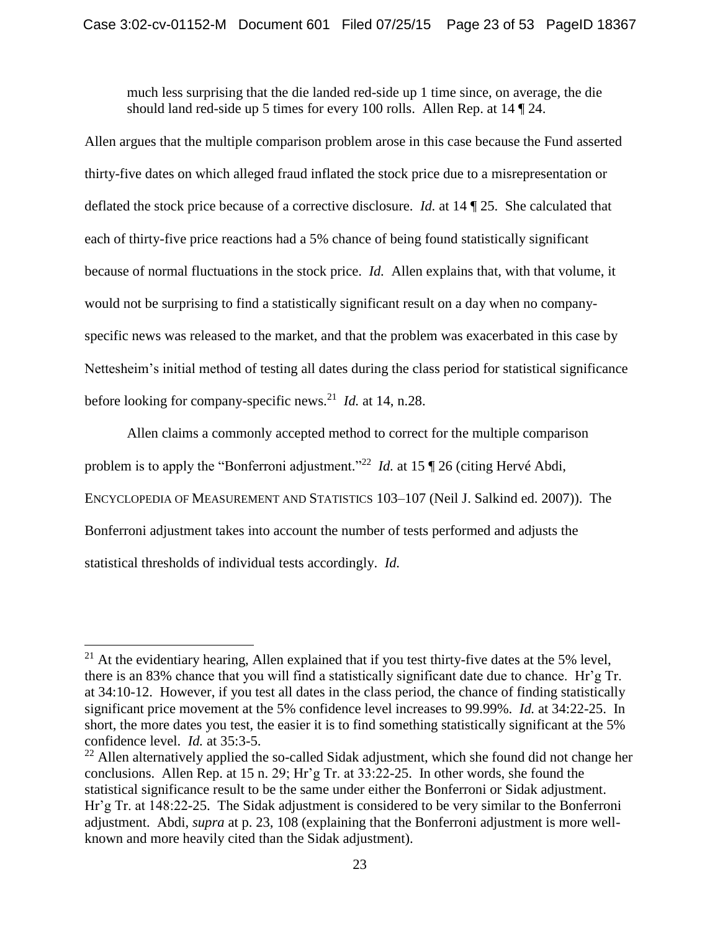much less surprising that the die landed red-side up 1 time since, on average, the die should land red-side up 5 times for every 100 rolls. Allen Rep. at 14 ¶ 24.

Allen argues that the multiple comparison problem arose in this case because the Fund asserted thirty-five dates on which alleged fraud inflated the stock price due to a misrepresentation or deflated the stock price because of a corrective disclosure. *Id.* at 14 ¶ 25. She calculated that each of thirty-five price reactions had a 5% chance of being found statistically significant because of normal fluctuations in the stock price. *Id.* Allen explains that, with that volume, it would not be surprising to find a statistically significant result on a day when no companyspecific news was released to the market, and that the problem was exacerbated in this case by Nettesheim's initial method of testing all dates during the class period for statistical significance before looking for company-specific news.<sup>21</sup> *Id.* at 14, n.28.

Allen claims a commonly accepted method to correct for the multiple comparison problem is to apply the "Bonferroni adjustment."<sup>22</sup> *Id.* at 15 | 26 (citing Hervé Abdi, ENCYCLOPEDIA OF MEASUREMENT AND STATISTICS 103–107 (Neil J. Salkind ed. 2007)). The Bonferroni adjustment takes into account the number of tests performed and adjusts the statistical thresholds of individual tests accordingly. *Id.*

 $21$  At the evidentiary hearing, Allen explained that if you test thirty-five dates at the 5% level, there is an 83% chance that you will find a statistically significant date due to chance. Hr'g Tr. at 34:10-12. However, if you test all dates in the class period, the chance of finding statistically significant price movement at the 5% confidence level increases to 99.99%. *Id.* at 34:22-25. In short, the more dates you test, the easier it is to find something statistically significant at the 5% confidence level. *Id.* at 35:3-5.

<sup>&</sup>lt;sup>22</sup> Allen alternatively applied the so-called Sidak adjustment, which she found did not change her conclusions. Allen Rep. at 15 n. 29; Hr'g Tr. at 33:22-25. In other words, she found the statistical significance result to be the same under either the Bonferroni or Sidak adjustment. Hr'g Tr. at 148:22-25. The Sidak adjustment is considered to be very similar to the Bonferroni adjustment. Abdi, *supra* at p. 23, 108 (explaining that the Bonferroni adjustment is more wellknown and more heavily cited than the Sidak adjustment).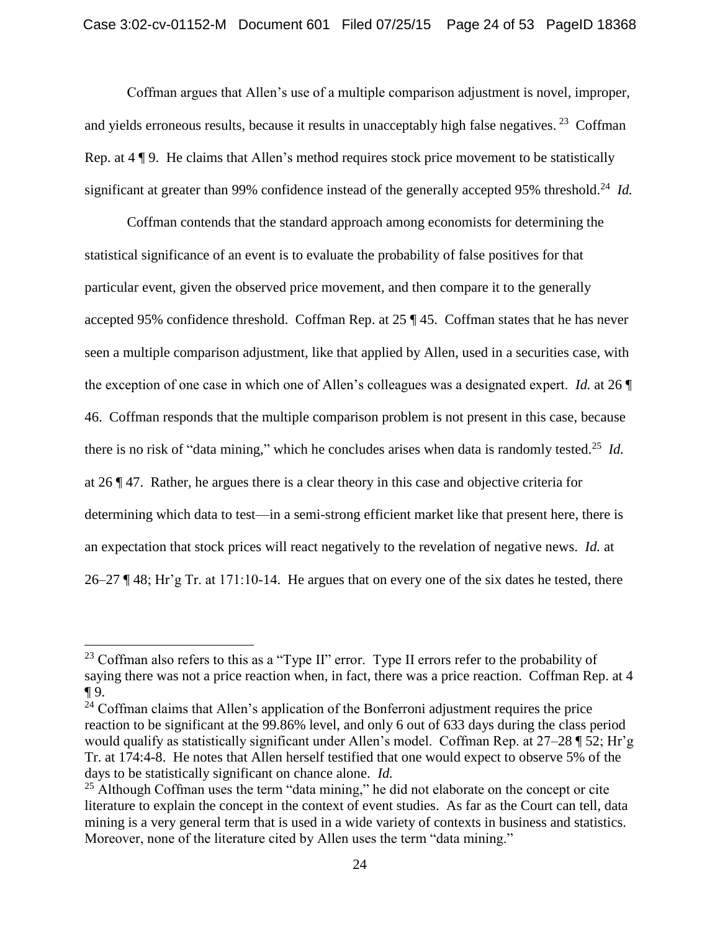Coffman argues that Allen's use of a multiple comparison adjustment is novel, improper, and yields erroneous results, because it results in unacceptably high false negatives.  $2^3$  Coffman Rep. at 4 ¶ 9. He claims that Allen's method requires stock price movement to be statistically significant at greater than 99% confidence instead of the generally accepted 95% threshold.<sup>24</sup> *Id.* 

Coffman contends that the standard approach among economists for determining the statistical significance of an event is to evaluate the probability of false positives for that particular event, given the observed price movement, and then compare it to the generally accepted 95% confidence threshold. Coffman Rep. at 25 ¶ 45. Coffman states that he has never seen a multiple comparison adjustment, like that applied by Allen, used in a securities case, with the exception of one case in which one of Allen's colleagues was a designated expert. *Id.* at 26 ¶ 46. Coffman responds that the multiple comparison problem is not present in this case, because there is no risk of "data mining," which he concludes arises when data is randomly tested.<sup>25</sup> *Id.* at 26 ¶ 47. Rather, he argues there is a clear theory in this case and objective criteria for determining which data to test—in a semi-strong efficient market like that present here, there is an expectation that stock prices will react negatively to the revelation of negative news. *Id.* at  $26-27$  ¶ 48; Hr'g Tr. at 171:10-14. He argues that on every one of the six dates he tested, there

 $23$  Coffman also refers to this as a "Type II" error. Type II errors refer to the probability of saying there was not a price reaction when, in fact, there was a price reaction. Coffman Rep. at 4 ¶ 9.

<sup>&</sup>lt;sup>24</sup> Coffman claims that Allen's application of the Bonferroni adjustment requires the price reaction to be significant at the 99.86% level, and only 6 out of 633 days during the class period would qualify as statistically significant under Allen's model. Coffman Rep. at 27–28 ¶ 52; Hr'g Tr. at 174:4-8. He notes that Allen herself testified that one would expect to observe 5% of the days to be statistically significant on chance alone. *Id.*

 $25$  Although Coffman uses the term "data mining," he did not elaborate on the concept or cite literature to explain the concept in the context of event studies. As far as the Court can tell, data mining is a very general term that is used in a wide variety of contexts in business and statistics. Moreover, none of the literature cited by Allen uses the term "data mining."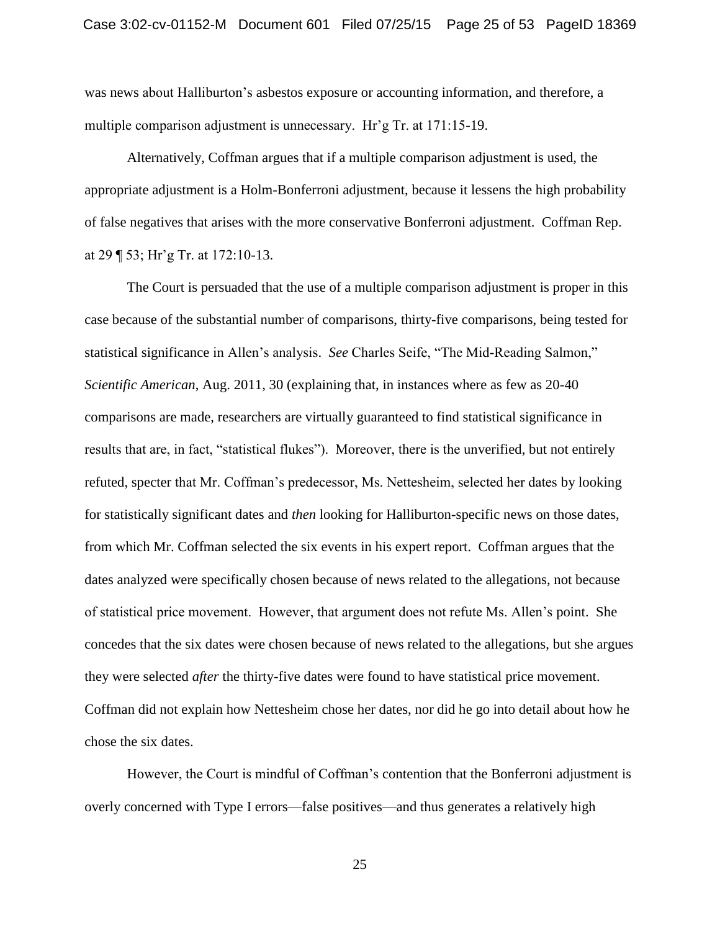was news about Halliburton's asbestos exposure or accounting information, and therefore, a multiple comparison adjustment is unnecessary. Hr'g Tr. at 171:15-19.

Alternatively, Coffman argues that if a multiple comparison adjustment is used, the appropriate adjustment is a Holm-Bonferroni adjustment, because it lessens the high probability of false negatives that arises with the more conservative Bonferroni adjustment. Coffman Rep. at 29 ¶ 53; Hr'g Tr. at 172:10-13.

The Court is persuaded that the use of a multiple comparison adjustment is proper in this case because of the substantial number of comparisons, thirty-five comparisons, being tested for statistical significance in Allen's analysis. *See* Charles Seife, "The Mid-Reading Salmon," *Scientific American*, Aug. 2011, 30 (explaining that, in instances where as few as 20-40 comparisons are made, researchers are virtually guaranteed to find statistical significance in results that are, in fact, "statistical flukes"). Moreover, there is the unverified, but not entirely refuted, specter that Mr. Coffman's predecessor, Ms. Nettesheim, selected her dates by looking for statistically significant dates and *then* looking for Halliburton-specific news on those dates, from which Mr. Coffman selected the six events in his expert report. Coffman argues that the dates analyzed were specifically chosen because of news related to the allegations, not because of statistical price movement. However, that argument does not refute Ms. Allen's point. She concedes that the six dates were chosen because of news related to the allegations, but she argues they were selected *after* the thirty-five dates were found to have statistical price movement. Coffman did not explain how Nettesheim chose her dates, nor did he go into detail about how he chose the six dates.

However, the Court is mindful of Coffman's contention that the Bonferroni adjustment is overly concerned with Type I errors—false positives—and thus generates a relatively high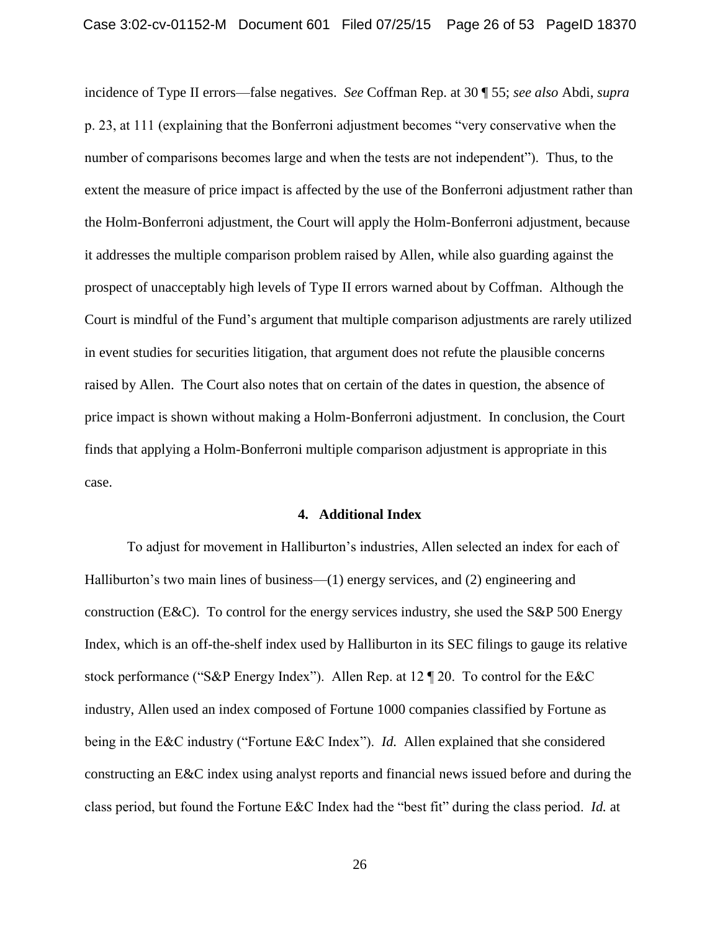incidence of Type II errors—false negatives. *See* Coffman Rep. at 30 ¶ 55; *see also* Abdi, *supra* p. 23, at 111 (explaining that the Bonferroni adjustment becomes "very conservative when the number of comparisons becomes large and when the tests are not independent"). Thus, to the extent the measure of price impact is affected by the use of the Bonferroni adjustment rather than the Holm-Bonferroni adjustment, the Court will apply the Holm-Bonferroni adjustment, because it addresses the multiple comparison problem raised by Allen, while also guarding against the prospect of unacceptably high levels of Type II errors warned about by Coffman. Although the Court is mindful of the Fund's argument that multiple comparison adjustments are rarely utilized in event studies for securities litigation, that argument does not refute the plausible concerns raised by Allen. The Court also notes that on certain of the dates in question, the absence of price impact is shown without making a Holm-Bonferroni adjustment. In conclusion, the Court finds that applying a Holm-Bonferroni multiple comparison adjustment is appropriate in this case.

#### **4. Additional Index**

To adjust for movement in Halliburton's industries, Allen selected an index for each of Halliburton's two main lines of business—(1) energy services, and (2) engineering and construction (E&C). To control for the energy services industry, she used the S&P 500 Energy Index, which is an off-the-shelf index used by Halliburton in its SEC filings to gauge its relative stock performance ("S&P Energy Index"). Allen Rep. at 12 ¶ 20. To control for the E&C industry, Allen used an index composed of Fortune 1000 companies classified by Fortune as being in the E&C industry ("Fortune E&C Index"). *Id.* Allen explained that she considered constructing an E&C index using analyst reports and financial news issued before and during the class period, but found the Fortune E&C Index had the "best fit" during the class period. *Id.* at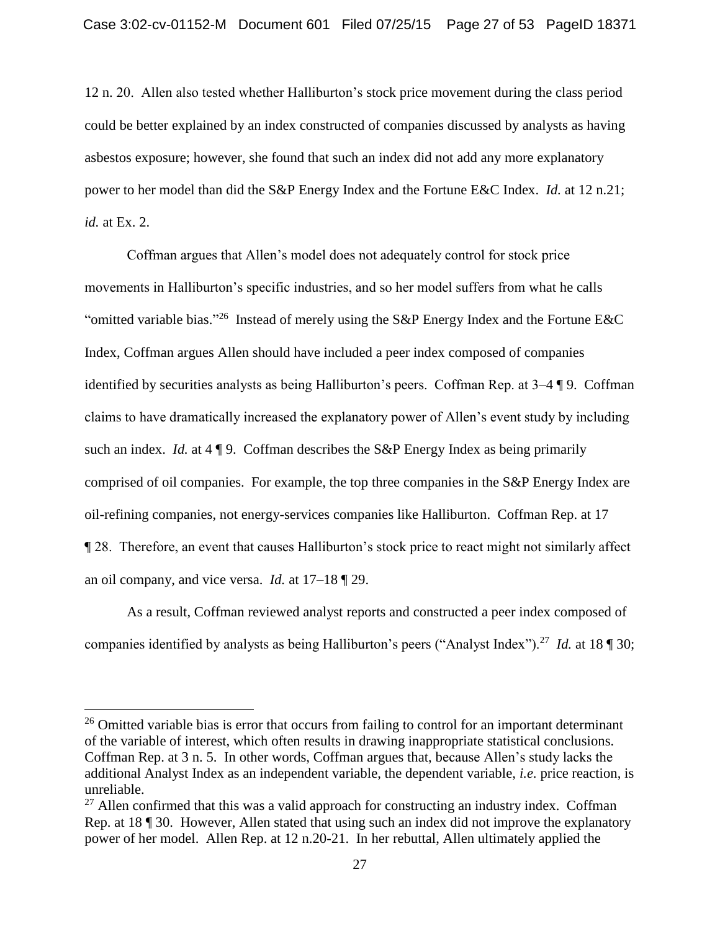12 n. 20. Allen also tested whether Halliburton's stock price movement during the class period could be better explained by an index constructed of companies discussed by analysts as having asbestos exposure; however, she found that such an index did not add any more explanatory power to her model than did the S&P Energy Index and the Fortune E&C Index. *Id.* at 12 n.21; *id.* at Ex. 2.

Coffman argues that Allen's model does not adequately control for stock price movements in Halliburton's specific industries, and so her model suffers from what he calls "omitted variable bias."<sup>26</sup> Instead of merely using the S&P Energy Index and the Fortune E&C Index, Coffman argues Allen should have included a peer index composed of companies identified by securities analysts as being Halliburton's peers. Coffman Rep. at 3–4 ¶ 9. Coffman claims to have dramatically increased the explanatory power of Allen's event study by including such an index. *Id.* at 4 | 9. Coffman describes the S&P Energy Index as being primarily comprised of oil companies. For example, the top three companies in the S&P Energy Index are oil-refining companies, not energy-services companies like Halliburton. Coffman Rep. at 17 ¶ 28. Therefore, an event that causes Halliburton's stock price to react might not similarly affect an oil company, and vice versa. *Id.* at 17–18 ¶ 29.

As a result, Coffman reviewed analyst reports and constructed a peer index composed of companies identified by analysts as being Halliburton's peers ("Analyst Index").<sup>27</sup> *Id.* at 18 ¶ 30;

<sup>&</sup>lt;sup>26</sup> Omitted variable bias is error that occurs from failing to control for an important determinant of the variable of interest, which often results in drawing inappropriate statistical conclusions. Coffman Rep. at 3 n. 5. In other words, Coffman argues that, because Allen's study lacks the additional Analyst Index as an independent variable, the dependent variable, *i.e.* price reaction, is unreliable.

 $27$  Allen confirmed that this was a valid approach for constructing an industry index. Coffman Rep. at 18 ¶ 30. However, Allen stated that using such an index did not improve the explanatory power of her model. Allen Rep. at 12 n.20-21. In her rebuttal, Allen ultimately applied the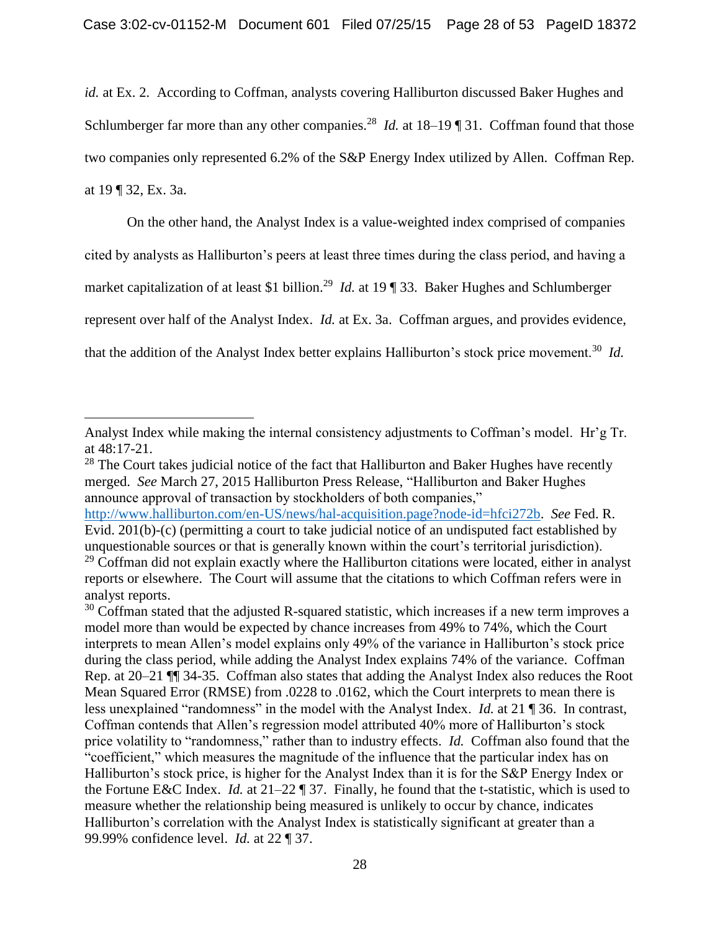*id.* at Ex. 2. According to Coffman, analysts covering Halliburton discussed Baker Hughes and Schlumberger far more than any other companies.<sup>28</sup> *Id.* at  $18-19$  [31. Coffman found that those two companies only represented 6.2% of the S&P Energy Index utilized by Allen. Coffman Rep. at 19 ¶ 32, Ex. 3a.

On the other hand, the Analyst Index is a value-weighted index comprised of companies cited by analysts as Halliburton's peers at least three times during the class period, and having a market capitalization of at least \$1 billion.<sup>29</sup> *Id.* at 19 ¶ 33. Baker Hughes and Schlumberger represent over half of the Analyst Index. *Id.* at Ex. 3a. Coffman argues, and provides evidence, that the addition of the Analyst Index better explains Halliburton's stock price movement.<sup>30</sup> Id.

 $\overline{a}$ 

http://www.halliburton.com/en-US/news/hal-acquisition.page?node-id=hfci272b. *See* Fed. R. Evid. 201(b)-(c) (permitting a court to take judicial notice of an undisputed fact established by unquestionable sources or that is generally known within the court's territorial jurisdiction).

Analyst Index while making the internal consistency adjustments to Coffman's model. Hr'g Tr. at 48:17-21.

<sup>&</sup>lt;sup>28</sup> The Court takes judicial notice of the fact that Halliburton and Baker Hughes have recently merged. *See* March 27, 2015 Halliburton Press Release, "Halliburton and Baker Hughes announce approval of transaction by stockholders of both companies,"

 $29$  Coffman did not explain exactly where the Halliburton citations were located, either in analyst reports or elsewhere. The Court will assume that the citations to which Coffman refers were in analyst reports.

 $30$  Coffman stated that the adjusted R-squared statistic, which increases if a new term improves a model more than would be expected by chance increases from 49% to 74%, which the Court interprets to mean Allen's model explains only 49% of the variance in Halliburton's stock price during the class period, while adding the Analyst Index explains 74% of the variance. Coffman Rep. at 20–21 ¶¶ 34-35. Coffman also states that adding the Analyst Index also reduces the Root Mean Squared Error (RMSE) from .0228 to .0162, which the Court interprets to mean there is less unexplained "randomness" in the model with the Analyst Index. *Id.* at 21 ¶ 36. In contrast, Coffman contends that Allen's regression model attributed 40% more of Halliburton's stock price volatility to "randomness," rather than to industry effects. *Id.* Coffman also found that the "coefficient," which measures the magnitude of the influence that the particular index has on Halliburton's stock price, is higher for the Analyst Index than it is for the S&P Energy Index or the Fortune E&C Index. *Id.* at 21–22 ¶ 37. Finally, he found that the t-statistic, which is used to measure whether the relationship being measured is unlikely to occur by chance, indicates Halliburton's correlation with the Analyst Index is statistically significant at greater than a 99.99% confidence level. *Id.* at 22 ¶ 37.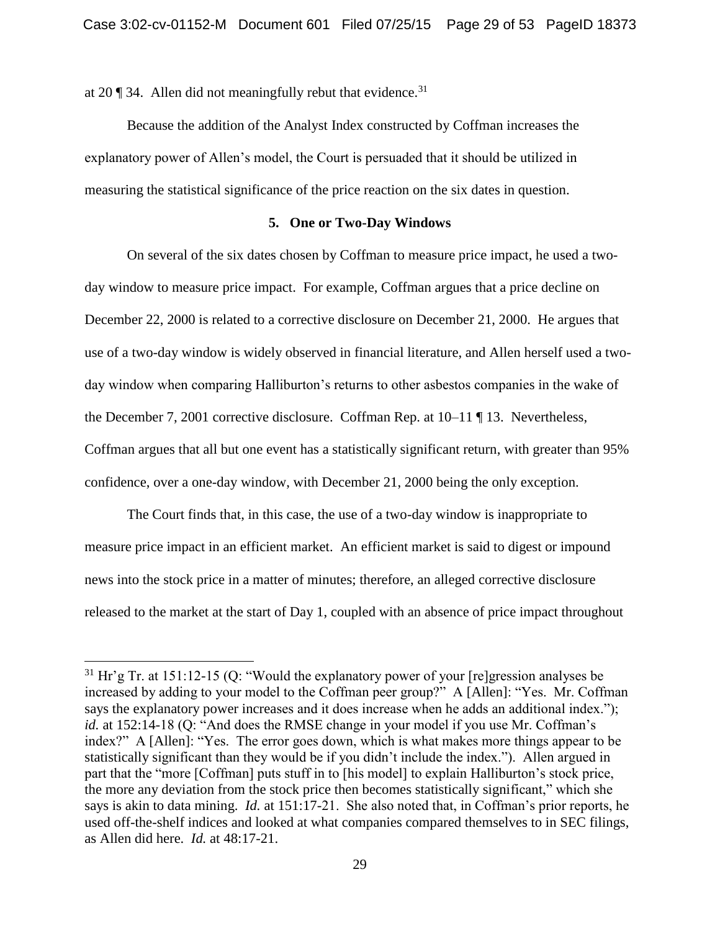at 20  $\degree$  34. Allen did not meaningfully rebut that evidence.<sup>31</sup>

 $\overline{a}$ 

Because the addition of the Analyst Index constructed by Coffman increases the explanatory power of Allen's model, the Court is persuaded that it should be utilized in measuring the statistical significance of the price reaction on the six dates in question.

## **5. One or Two-Day Windows**

On several of the six dates chosen by Coffman to measure price impact, he used a twoday window to measure price impact. For example, Coffman argues that a price decline on December 22, 2000 is related to a corrective disclosure on December 21, 2000. He argues that use of a two-day window is widely observed in financial literature, and Allen herself used a twoday window when comparing Halliburton's returns to other asbestos companies in the wake of the December 7, 2001 corrective disclosure. Coffman Rep. at 10–11 ¶ 13. Nevertheless, Coffman argues that all but one event has a statistically significant return, with greater than 95% confidence, over a one-day window, with December 21, 2000 being the only exception.

The Court finds that, in this case, the use of a two-day window is inappropriate to measure price impact in an efficient market. An efficient market is said to digest or impound news into the stock price in a matter of minutes; therefore, an alleged corrective disclosure released to the market at the start of Day 1, coupled with an absence of price impact throughout

 $31$  Hr'g Tr. at 151:12-15 (Q: "Would the explanatory power of your [re]gression analyses be increased by adding to your model to the Coffman peer group?" A [Allen]: "Yes. Mr. Coffman says the explanatory power increases and it does increase when he adds an additional index."); *id.* at 152:14-18 (O: "And does the RMSE change in your model if you use Mr. Coffman's index?" A [Allen]: "Yes. The error goes down, which is what makes more things appear to be statistically significant than they would be if you didn't include the index."). Allen argued in part that the "more [Coffman] puts stuff in to [his model] to explain Halliburton's stock price, the more any deviation from the stock price then becomes statistically significant," which she says is akin to data mining. *Id.* at 151:17-21. She also noted that, in Coffman's prior reports, he used off-the-shelf indices and looked at what companies compared themselves to in SEC filings, as Allen did here. *Id.* at 48:17-21.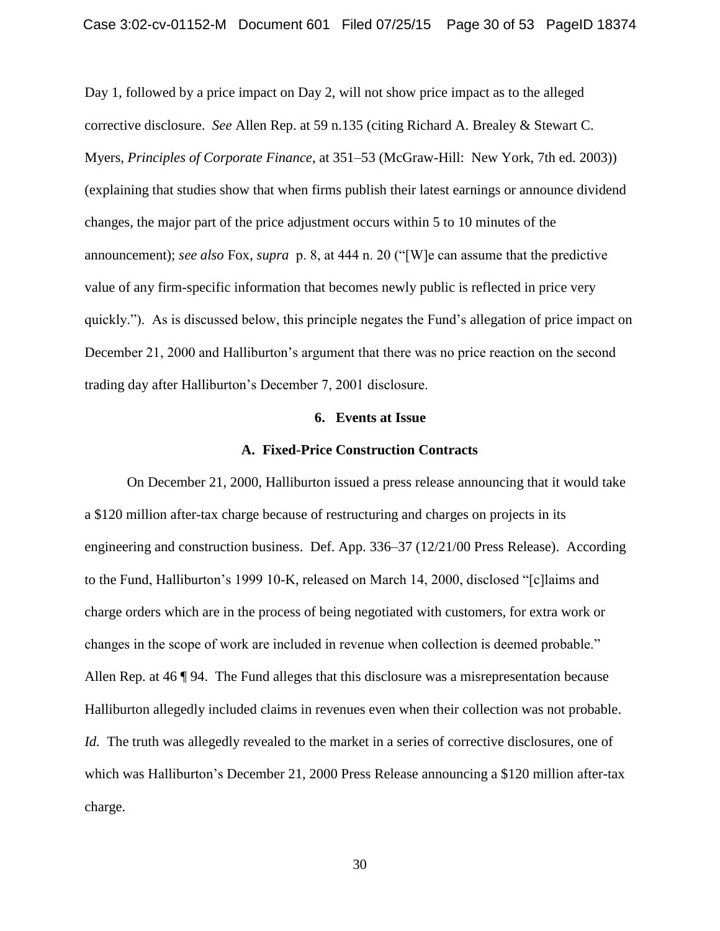Day 1, followed by a price impact on Day 2, will not show price impact as to the alleged corrective disclosure. *See* Allen Rep. at 59 n.135 (citing Richard A. Brealey & Stewart C. Myers, *Principles of Corporate Finance*, at 351–53 (McGraw-Hill: New York, 7th ed. 2003)) (explaining that studies show that when firms publish their latest earnings or announce dividend changes, the major part of the price adjustment occurs within 5 to 10 minutes of the announcement); *see also* Fox, *supra* p. 8, at 444 n. 20 ("[W]e can assume that the predictive value of any firm-specific information that becomes newly public is reflected in price very quickly."). As is discussed below, this principle negates the Fund's allegation of price impact on December 21, 2000 and Halliburton's argument that there was no price reaction on the second trading day after Halliburton's December 7, 2001 disclosure.

## **6. Events at Issue**

#### **A. Fixed-Price Construction Contracts**

On December 21, 2000, Halliburton issued a press release announcing that it would take a \$120 million after-tax charge because of restructuring and charges on projects in its engineering and construction business. Def. App. 336–37 (12/21/00 Press Release). According to the Fund, Halliburton's 1999 10-K, released on March 14, 2000, disclosed "[c]laims and charge orders which are in the process of being negotiated with customers, for extra work or changes in the scope of work are included in revenue when collection is deemed probable." Allen Rep. at 46 ¶ 94. The Fund alleges that this disclosure was a misrepresentation because Halliburton allegedly included claims in revenues even when their collection was not probable. *Id.* The truth was allegedly revealed to the market in a series of corrective disclosures, one of which was Halliburton's December 21, 2000 Press Release announcing a \$120 million after-tax charge.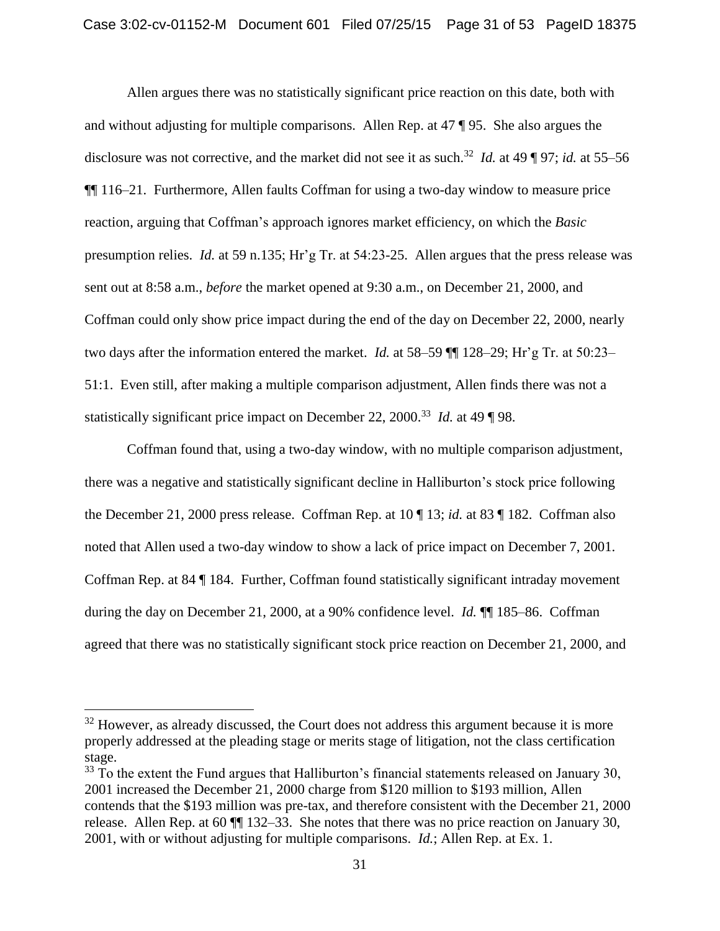Allen argues there was no statistically significant price reaction on this date, both with and without adjusting for multiple comparisons. Allen Rep. at 47 ¶ 95. She also argues the disclosure was not corrective, and the market did not see it as such.<sup>32</sup> *Id.* at 49 ¶ 97; *id.* at 55–56 ¶¶ 116–21. Furthermore, Allen faults Coffman for using a two-day window to measure price reaction, arguing that Coffman's approach ignores market efficiency, on which the *Basic* presumption relies. *Id.* at 59 n.135; Hr'g Tr. at 54:23-25. Allen argues that the press release was sent out at 8:58 a.m., *before* the market opened at 9:30 a.m., on December 21, 2000, and Coffman could only show price impact during the end of the day on December 22, 2000, nearly two days after the information entered the market. *Id.* at 58–59 ¶¶ 128–29; Hr'g Tr. at 50:23– 51:1. Even still, after making a multiple comparison adjustment, Allen finds there was not a statistically significant price impact on December 22, 2000.<sup>33</sup> *Id.* at 49 ¶ 98.

Coffman found that, using a two-day window, with no multiple comparison adjustment, there was a negative and statistically significant decline in Halliburton's stock price following the December 21, 2000 press release. Coffman Rep. at 10 ¶ 13; *id.* at 83 ¶ 182. Coffman also noted that Allen used a two-day window to show a lack of price impact on December 7, 2001. Coffman Rep. at 84 ¶ 184. Further, Coffman found statistically significant intraday movement during the day on December 21, 2000, at a 90% confidence level. *Id.*  $\P$  185–86. Coffman agreed that there was no statistically significant stock price reaction on December 21, 2000, and

 $32$  However, as already discussed, the Court does not address this argument because it is more properly addressed at the pleading stage or merits stage of litigation, not the class certification stage.

<sup>&</sup>lt;sup>33</sup> To the extent the Fund argues that Halliburton's financial statements released on January 30, 2001 increased the December 21, 2000 charge from \$120 million to \$193 million, Allen contends that the \$193 million was pre-tax, and therefore consistent with the December 21, 2000 release. Allen Rep. at 60 ¶¶ 132–33. She notes that there was no price reaction on January 30, 2001, with or without adjusting for multiple comparisons. *Id.*; Allen Rep. at Ex. 1.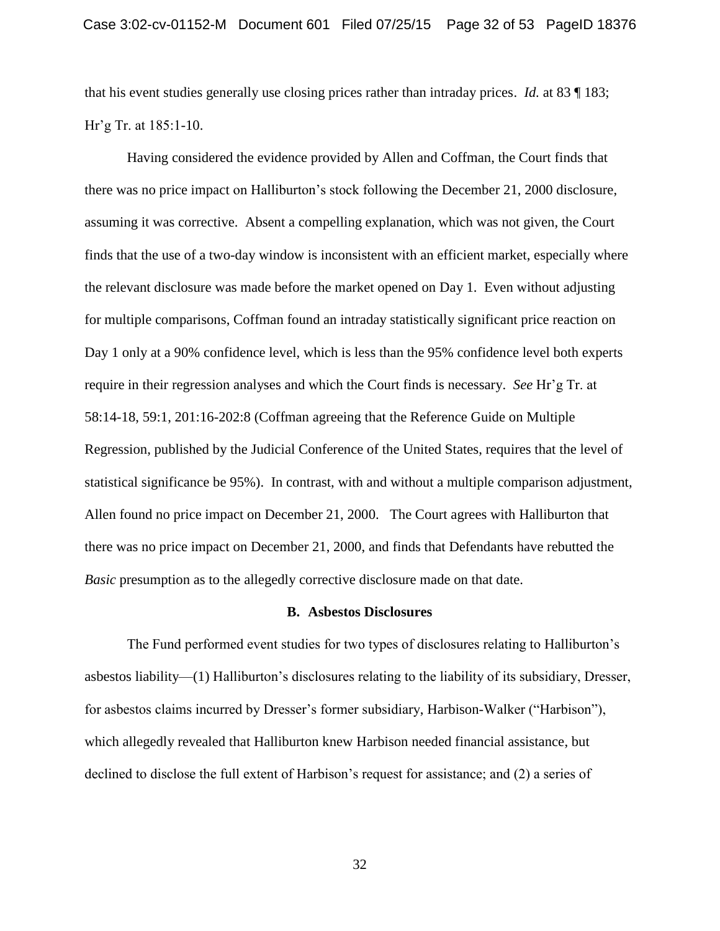that his event studies generally use closing prices rather than intraday prices. *Id.* at 83 ¶ 183; Hr'g Tr. at 185:1-10.

Having considered the evidence provided by Allen and Coffman, the Court finds that there was no price impact on Halliburton's stock following the December 21, 2000 disclosure, assuming it was corrective. Absent a compelling explanation, which was not given, the Court finds that the use of a two-day window is inconsistent with an efficient market, especially where the relevant disclosure was made before the market opened on Day 1. Even without adjusting for multiple comparisons, Coffman found an intraday statistically significant price reaction on Day 1 only at a 90% confidence level, which is less than the 95% confidence level both experts require in their regression analyses and which the Court finds is necessary. *See* Hr'g Tr. at 58:14-18, 59:1, 201:16-202:8 (Coffman agreeing that the Reference Guide on Multiple Regression, published by the Judicial Conference of the United States, requires that the level of statistical significance be 95%). In contrast, with and without a multiple comparison adjustment, Allen found no price impact on December 21, 2000. The Court agrees with Halliburton that there was no price impact on December 21, 2000, and finds that Defendants have rebutted the *Basic* presumption as to the allegedly corrective disclosure made on that date.

#### **B. Asbestos Disclosures**

The Fund performed event studies for two types of disclosures relating to Halliburton's asbestos liability—(1) Halliburton's disclosures relating to the liability of its subsidiary, Dresser, for asbestos claims incurred by Dresser's former subsidiary, Harbison-Walker ("Harbison"), which allegedly revealed that Halliburton knew Harbison needed financial assistance, but declined to disclose the full extent of Harbison's request for assistance; and (2) a series of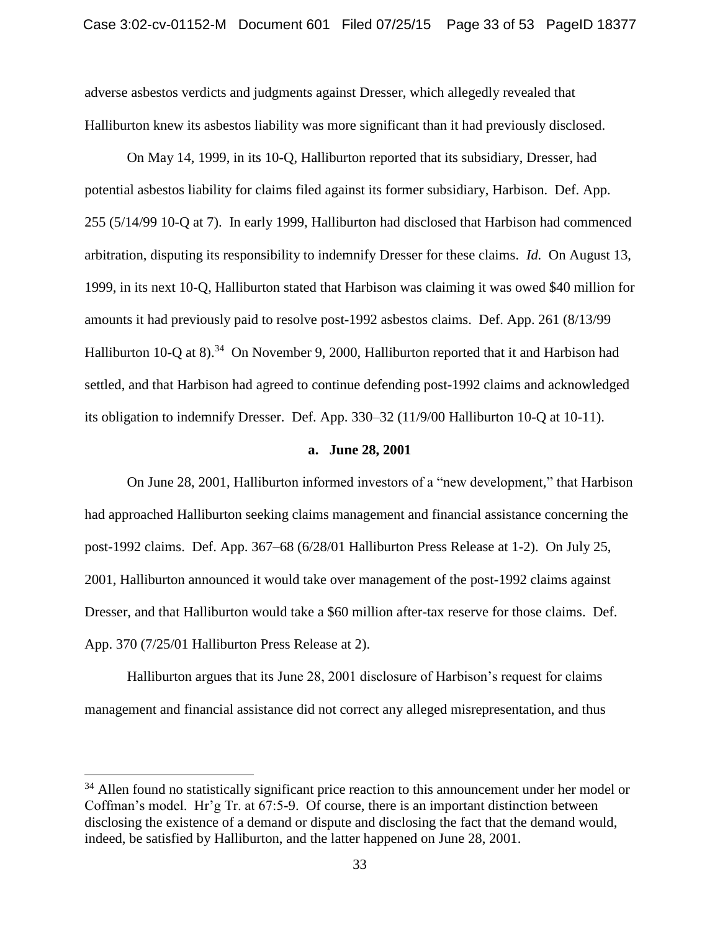adverse asbestos verdicts and judgments against Dresser, which allegedly revealed that Halliburton knew its asbestos liability was more significant than it had previously disclosed.

On May 14, 1999, in its 10-Q, Halliburton reported that its subsidiary, Dresser, had potential asbestos liability for claims filed against its former subsidiary, Harbison. Def. App. 255 (5/14/99 10-Q at 7). In early 1999, Halliburton had disclosed that Harbison had commenced arbitration, disputing its responsibility to indemnify Dresser for these claims. *Id.* On August 13, 1999, in its next 10-Q, Halliburton stated that Harbison was claiming it was owed \$40 million for amounts it had previously paid to resolve post-1992 asbestos claims. Def. App. 261 (8/13/99 Halliburton 10-Q at 8).<sup>34</sup> On November 9, 2000, Halliburton reported that it and Harbison had settled, and that Harbison had agreed to continue defending post-1992 claims and acknowledged its obligation to indemnify Dresser. Def. App. 330–32 (11/9/00 Halliburton 10-Q at 10-11).

#### **a. June 28, 2001**

On June 28, 2001, Halliburton informed investors of a "new development," that Harbison had approached Halliburton seeking claims management and financial assistance concerning the post-1992 claims. Def. App. 367–68 (6/28/01 Halliburton Press Release at 1-2). On July 25, 2001, Halliburton announced it would take over management of the post-1992 claims against Dresser, and that Halliburton would take a \$60 million after-tax reserve for those claims. Def. App. 370 (7/25/01 Halliburton Press Release at 2).

Halliburton argues that its June 28, 2001 disclosure of Harbison's request for claims management and financial assistance did not correct any alleged misrepresentation, and thus

<sup>&</sup>lt;sup>34</sup> Allen found no statistically significant price reaction to this announcement under her model or Coffman's model. Hr'g Tr. at 67:5-9. Of course, there is an important distinction between disclosing the existence of a demand or dispute and disclosing the fact that the demand would, indeed, be satisfied by Halliburton, and the latter happened on June 28, 2001.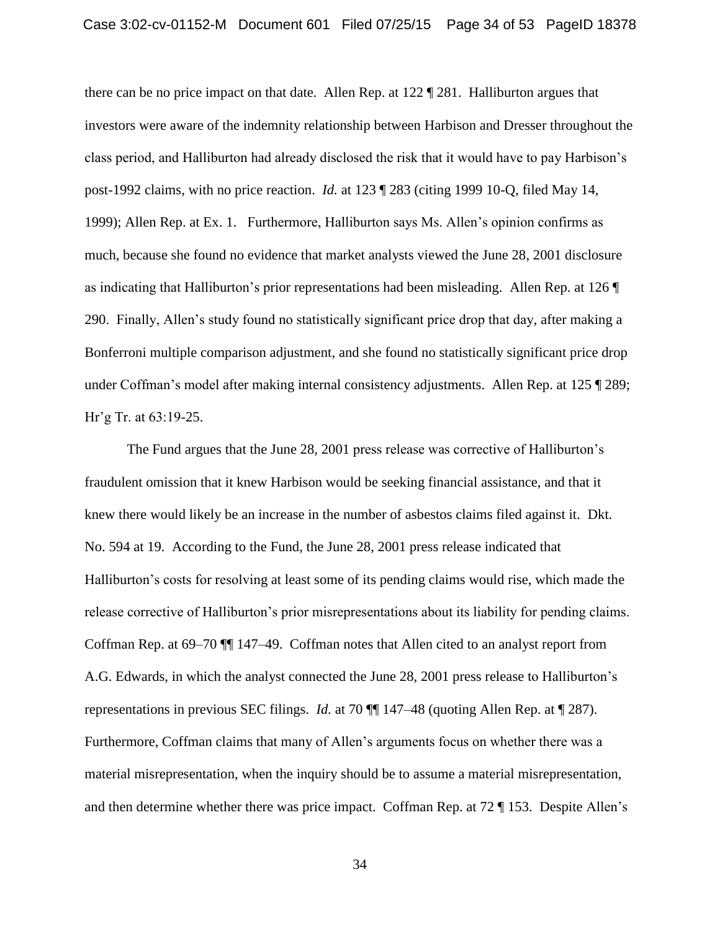there can be no price impact on that date. Allen Rep. at 122 ¶ 281. Halliburton argues that investors were aware of the indemnity relationship between Harbison and Dresser throughout the class period, and Halliburton had already disclosed the risk that it would have to pay Harbison's post-1992 claims, with no price reaction. *Id.* at 123 ¶ 283 (citing 1999 10-Q, filed May 14, 1999); Allen Rep. at Ex. 1. Furthermore, Halliburton says Ms. Allen's opinion confirms as much, because she found no evidence that market analysts viewed the June 28, 2001 disclosure as indicating that Halliburton's prior representations had been misleading. Allen Rep. at 126 ¶ 290. Finally, Allen's study found no statistically significant price drop that day, after making a Bonferroni multiple comparison adjustment, and she found no statistically significant price drop under Coffman's model after making internal consistency adjustments. Allen Rep. at 125 ¶ 289; Hr'g Tr. at 63:19-25.

The Fund argues that the June 28, 2001 press release was corrective of Halliburton's fraudulent omission that it knew Harbison would be seeking financial assistance, and that it knew there would likely be an increase in the number of asbestos claims filed against it. Dkt. No. 594 at 19. According to the Fund, the June 28, 2001 press release indicated that Halliburton's costs for resolving at least some of its pending claims would rise, which made the release corrective of Halliburton's prior misrepresentations about its liability for pending claims. Coffman Rep. at 69–70 ¶¶ 147–49. Coffman notes that Allen cited to an analyst report from A.G. Edwards, in which the analyst connected the June 28, 2001 press release to Halliburton's representations in previous SEC filings. *Id.* at 70 ¶¶ 147–48 (quoting Allen Rep. at ¶ 287). Furthermore, Coffman claims that many of Allen's arguments focus on whether there was a material misrepresentation, when the inquiry should be to assume a material misrepresentation, and then determine whether there was price impact. Coffman Rep. at 72 ¶ 153. Despite Allen's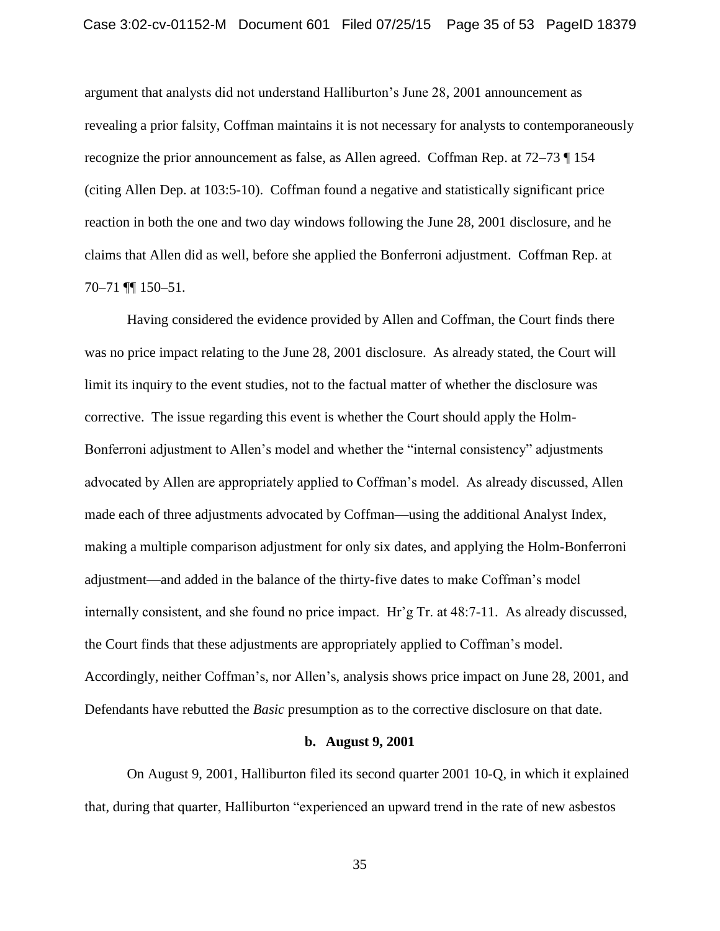argument that analysts did not understand Halliburton's June 28, 2001 announcement as revealing a prior falsity, Coffman maintains it is not necessary for analysts to contemporaneously recognize the prior announcement as false, as Allen agreed. Coffman Rep. at 72–73 ¶ 154 (citing Allen Dep. at 103:5-10). Coffman found a negative and statistically significant price reaction in both the one and two day windows following the June 28, 2001 disclosure, and he claims that Allen did as well, before she applied the Bonferroni adjustment. Coffman Rep. at 70–71 ¶¶ 150–51.

Having considered the evidence provided by Allen and Coffman, the Court finds there was no price impact relating to the June 28, 2001 disclosure. As already stated, the Court will limit its inquiry to the event studies, not to the factual matter of whether the disclosure was corrective. The issue regarding this event is whether the Court should apply the Holm-Bonferroni adjustment to Allen's model and whether the "internal consistency" adjustments advocated by Allen are appropriately applied to Coffman's model. As already discussed, Allen made each of three adjustments advocated by Coffman—using the additional Analyst Index, making a multiple comparison adjustment for only six dates, and applying the Holm-Bonferroni adjustment—and added in the balance of the thirty-five dates to make Coffman's model internally consistent, and she found no price impact. Hr'g Tr. at 48:7-11. As already discussed, the Court finds that these adjustments are appropriately applied to Coffman's model. Accordingly, neither Coffman's, nor Allen's, analysis shows price impact on June 28, 2001, and Defendants have rebutted the *Basic* presumption as to the corrective disclosure on that date.

## **b. August 9, 2001**

On August 9, 2001, Halliburton filed its second quarter 2001 10-Q, in which it explained that, during that quarter, Halliburton "experienced an upward trend in the rate of new asbestos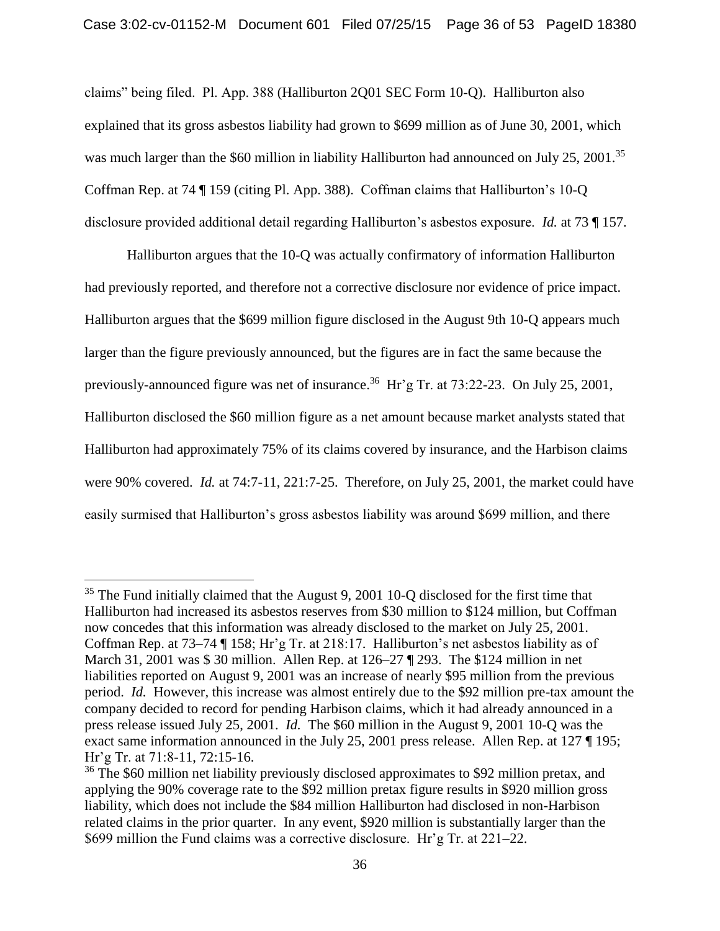claims" being filed. Pl. App. 388 (Halliburton 2Q01 SEC Form 10-Q). Halliburton also explained that its gross asbestos liability had grown to \$699 million as of June 30, 2001, which was much larger than the \$60 million in liability Halliburton had announced on July 25, 2001.<sup>35</sup> Coffman Rep. at 74 ¶ 159 (citing Pl. App. 388). Coffman claims that Halliburton's 10-Q disclosure provided additional detail regarding Halliburton's asbestos exposure. *Id.* at 73 ¶ 157.

Halliburton argues that the 10-Q was actually confirmatory of information Halliburton had previously reported, and therefore not a corrective disclosure nor evidence of price impact. Halliburton argues that the \$699 million figure disclosed in the August 9th 10-Q appears much larger than the figure previously announced, but the figures are in fact the same because the previously-announced figure was net of insurance.<sup>36</sup> Hr'g Tr. at 73:22-23. On July 25, 2001, Halliburton disclosed the \$60 million figure as a net amount because market analysts stated that Halliburton had approximately 75% of its claims covered by insurance, and the Harbison claims were 90% covered. *Id.* at 74:7-11, 221:7-25. Therefore, on July 25, 2001, the market could have easily surmised that Halliburton's gross asbestos liability was around \$699 million, and there

<sup>&</sup>lt;sup>35</sup> The Fund initially claimed that the August 9, 2001 10-Q disclosed for the first time that Halliburton had increased its asbestos reserves from \$30 million to \$124 million, but Coffman now concedes that this information was already disclosed to the market on July 25, 2001. Coffman Rep. at 73–74 ¶ 158; Hr'g Tr. at 218:17. Halliburton's net asbestos liability as of March 31, 2001 was \$ 30 million. Allen Rep. at 126–27 ¶ 293. The \$124 million in net liabilities reported on August 9, 2001 was an increase of nearly \$95 million from the previous period. *Id.* However, this increase was almost entirely due to the \$92 million pre-tax amount the company decided to record for pending Harbison claims, which it had already announced in a press release issued July 25, 2001. *Id.* The \$60 million in the August 9, 2001 10-Q was the exact same information announced in the July 25, 2001 press release. Allen Rep. at 127 ¶ 195; Hr'g Tr. at 71:8-11, 72:15-16.

<sup>&</sup>lt;sup>36</sup> The \$60 million net liability previously disclosed approximates to \$92 million pretax, and applying the 90% coverage rate to the \$92 million pretax figure results in \$920 million gross liability, which does not include the \$84 million Halliburton had disclosed in non-Harbison related claims in the prior quarter. In any event, \$920 million is substantially larger than the \$699 million the Fund claims was a corrective disclosure. Hr'g Tr. at 221–22.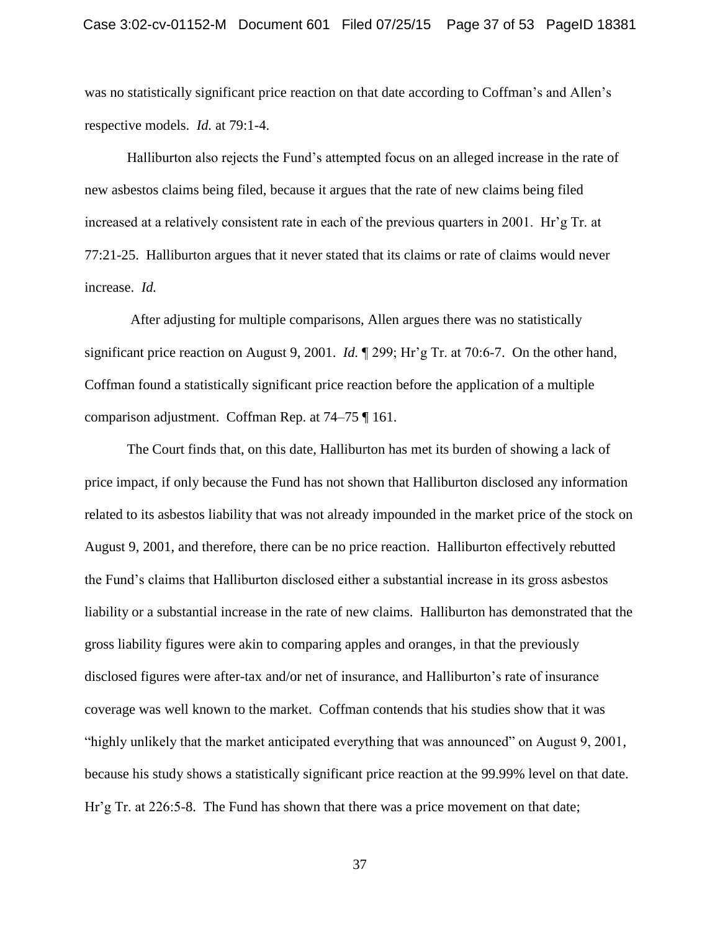was no statistically significant price reaction on that date according to Coffman's and Allen's respective models. *Id.* at 79:1-4.

Halliburton also rejects the Fund's attempted focus on an alleged increase in the rate of new asbestos claims being filed, because it argues that the rate of new claims being filed increased at a relatively consistent rate in each of the previous quarters in 2001. Hr'g Tr. at 77:21-25. Halliburton argues that it never stated that its claims or rate of claims would never increase. *Id.*

After adjusting for multiple comparisons, Allen argues there was no statistically significant price reaction on August 9, 2001. *Id.* ¶ 299; Hr'g Tr. at 70:6-7. On the other hand, Coffman found a statistically significant price reaction before the application of a multiple comparison adjustment. Coffman Rep. at 74–75 ¶ 161.

The Court finds that, on this date, Halliburton has met its burden of showing a lack of price impact, if only because the Fund has not shown that Halliburton disclosed any information related to its asbestos liability that was not already impounded in the market price of the stock on August 9, 2001, and therefore, there can be no price reaction. Halliburton effectively rebutted the Fund's claims that Halliburton disclosed either a substantial increase in its gross asbestos liability or a substantial increase in the rate of new claims. Halliburton has demonstrated that the gross liability figures were akin to comparing apples and oranges, in that the previously disclosed figures were after-tax and/or net of insurance, and Halliburton's rate of insurance coverage was well known to the market. Coffman contends that his studies show that it was "highly unlikely that the market anticipated everything that was announced" on August 9, 2001, because his study shows a statistically significant price reaction at the 99.99% level on that date. Hr'g Tr. at 226:5-8. The Fund has shown that there was a price movement on that date;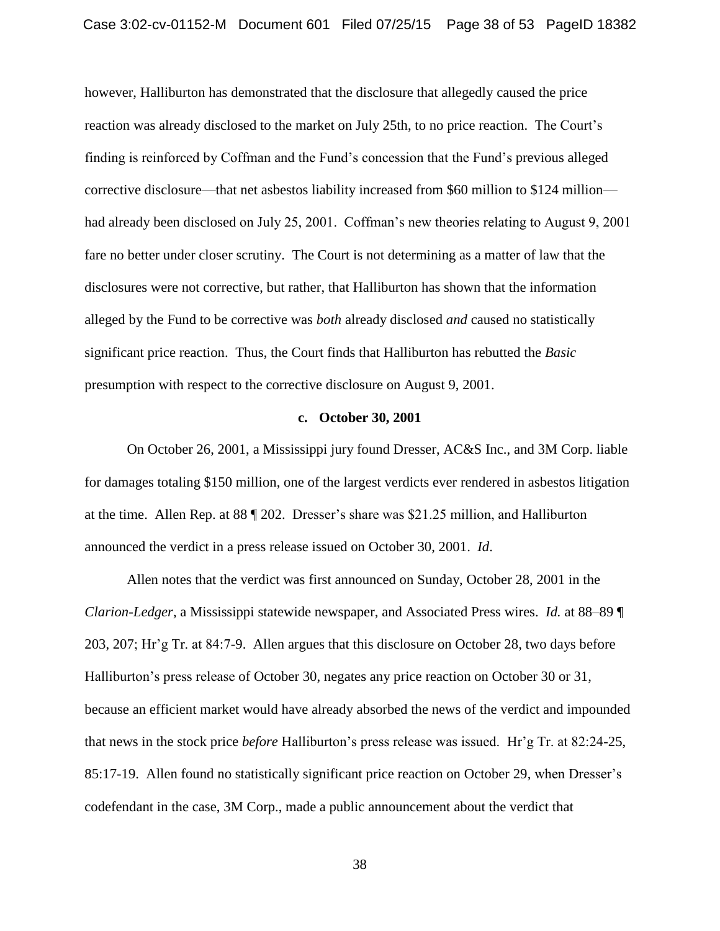however, Halliburton has demonstrated that the disclosure that allegedly caused the price reaction was already disclosed to the market on July 25th, to no price reaction. The Court's finding is reinforced by Coffman and the Fund's concession that the Fund's previous alleged corrective disclosure—that net asbestos liability increased from \$60 million to \$124 million had already been disclosed on July 25, 2001. Coffman's new theories relating to August 9, 2001 fare no better under closer scrutiny. The Court is not determining as a matter of law that the disclosures were not corrective, but rather, that Halliburton has shown that the information alleged by the Fund to be corrective was *both* already disclosed *and* caused no statistically significant price reaction. Thus, the Court finds that Halliburton has rebutted the *Basic*  presumption with respect to the corrective disclosure on August 9, 2001.

#### **c. October 30, 2001**

On October 26, 2001, a Mississippi jury found Dresser, AC&S Inc., and 3M Corp. liable for damages totaling \$150 million, one of the largest verdicts ever rendered in asbestos litigation at the time. Allen Rep. at 88 ¶ 202. Dresser's share was \$21.25 million, and Halliburton announced the verdict in a press release issued on October 30, 2001. *Id*.

Allen notes that the verdict was first announced on Sunday, October 28, 2001 in the *Clarion-Ledger*, a Mississippi statewide newspaper, and Associated Press wires. *Id.* at 88–89 ¶ 203, 207; Hr'g Tr. at 84:7-9. Allen argues that this disclosure on October 28, two days before Halliburton's press release of October 30, negates any price reaction on October 30 or 31, because an efficient market would have already absorbed the news of the verdict and impounded that news in the stock price *before* Halliburton's press release was issued. Hr'g Tr. at 82:24-25, 85:17-19. Allen found no statistically significant price reaction on October 29, when Dresser's codefendant in the case, 3M Corp., made a public announcement about the verdict that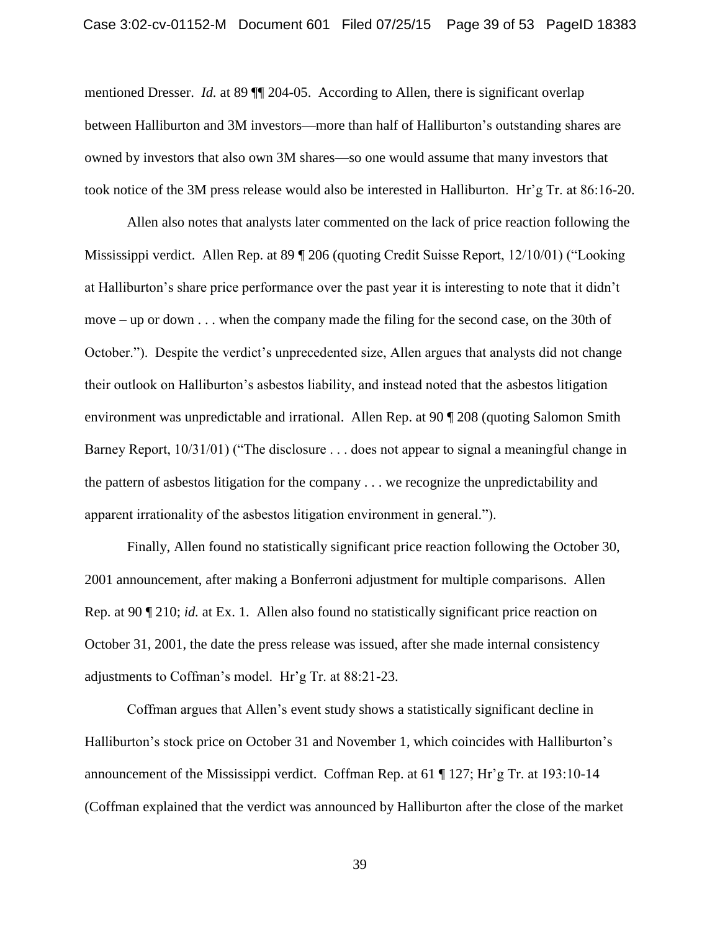mentioned Dresser. *Id.* at 89  $\P$  204-05. According to Allen, there is significant overlap between Halliburton and 3M investors—more than half of Halliburton's outstanding shares are owned by investors that also own 3M shares—so one would assume that many investors that took notice of the 3M press release would also be interested in Halliburton. Hr'g Tr. at 86:16-20.

Allen also notes that analysts later commented on the lack of price reaction following the Mississippi verdict. Allen Rep. at 89 ¶ 206 (quoting Credit Suisse Report, 12/10/01) ("Looking at Halliburton's share price performance over the past year it is interesting to note that it didn't move – up or down . . . when the company made the filing for the second case, on the 30th of October."). Despite the verdict's unprecedented size, Allen argues that analysts did not change their outlook on Halliburton's asbestos liability, and instead noted that the asbestos litigation environment was unpredictable and irrational. Allen Rep. at 90 ¶ 208 (quoting Salomon Smith Barney Report, 10/31/01) ("The disclosure . . . does not appear to signal a meaningful change in the pattern of asbestos litigation for the company . . . we recognize the unpredictability and apparent irrationality of the asbestos litigation environment in general.").

Finally, Allen found no statistically significant price reaction following the October 30, 2001 announcement, after making a Bonferroni adjustment for multiple comparisons. Allen Rep. at 90 ¶ 210; *id.* at Ex. 1. Allen also found no statistically significant price reaction on October 31, 2001, the date the press release was issued, after she made internal consistency adjustments to Coffman's model. Hr'g Tr. at 88:21-23.

Coffman argues that Allen's event study shows a statistically significant decline in Halliburton's stock price on October 31 and November 1, which coincides with Halliburton's announcement of the Mississippi verdict. Coffman Rep. at 61 ¶ 127; Hr'g Tr. at 193:10-14 (Coffman explained that the verdict was announced by Halliburton after the close of the market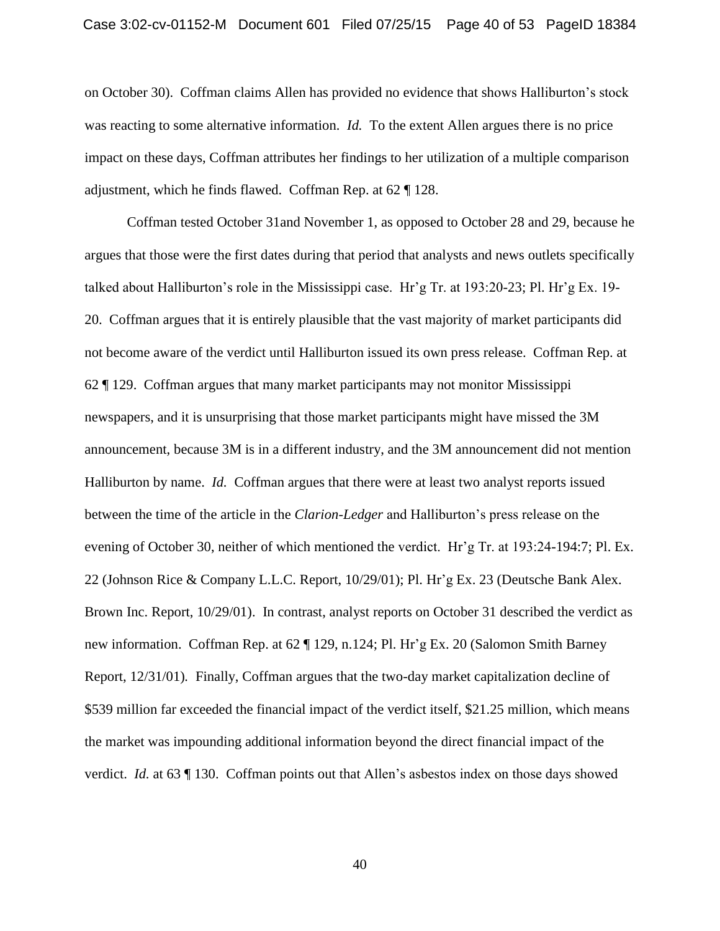on October 30). Coffman claims Allen has provided no evidence that shows Halliburton's stock was reacting to some alternative information. *Id.* To the extent Allen argues there is no price impact on these days, Coffman attributes her findings to her utilization of a multiple comparison adjustment, which he finds flawed. Coffman Rep. at 62 ¶ 128.

Coffman tested October 31and November 1, as opposed to October 28 and 29, because he argues that those were the first dates during that period that analysts and news outlets specifically talked about Halliburton's role in the Mississippi case. Hr'g Tr. at 193:20-23; Pl. Hr'g Ex. 19- 20. Coffman argues that it is entirely plausible that the vast majority of market participants did not become aware of the verdict until Halliburton issued its own press release. Coffman Rep. at 62 ¶ 129. Coffman argues that many market participants may not monitor Mississippi newspapers, and it is unsurprising that those market participants might have missed the 3M announcement, because 3M is in a different industry, and the 3M announcement did not mention Halliburton by name. *Id.* Coffman argues that there were at least two analyst reports issued between the time of the article in the *Clarion-Ledger* and Halliburton's press release on the evening of October 30, neither of which mentioned the verdict. Hr'g Tr. at 193:24-194:7; Pl. Ex. 22 (Johnson Rice & Company L.L.C. Report, 10/29/01); Pl. Hr'g Ex. 23 (Deutsche Bank Alex. Brown Inc. Report, 10/29/01). In contrast, analyst reports on October 31 described the verdict as new information. Coffman Rep. at 62 ¶ 129, n.124; Pl. Hr'g Ex. 20 (Salomon Smith Barney Report, 12/31/01)*.* Finally, Coffman argues that the two-day market capitalization decline of \$539 million far exceeded the financial impact of the verdict itself, \$21.25 million, which means the market was impounding additional information beyond the direct financial impact of the verdict. *Id.* at 63 ¶ 130. Coffman points out that Allen's asbestos index on those days showed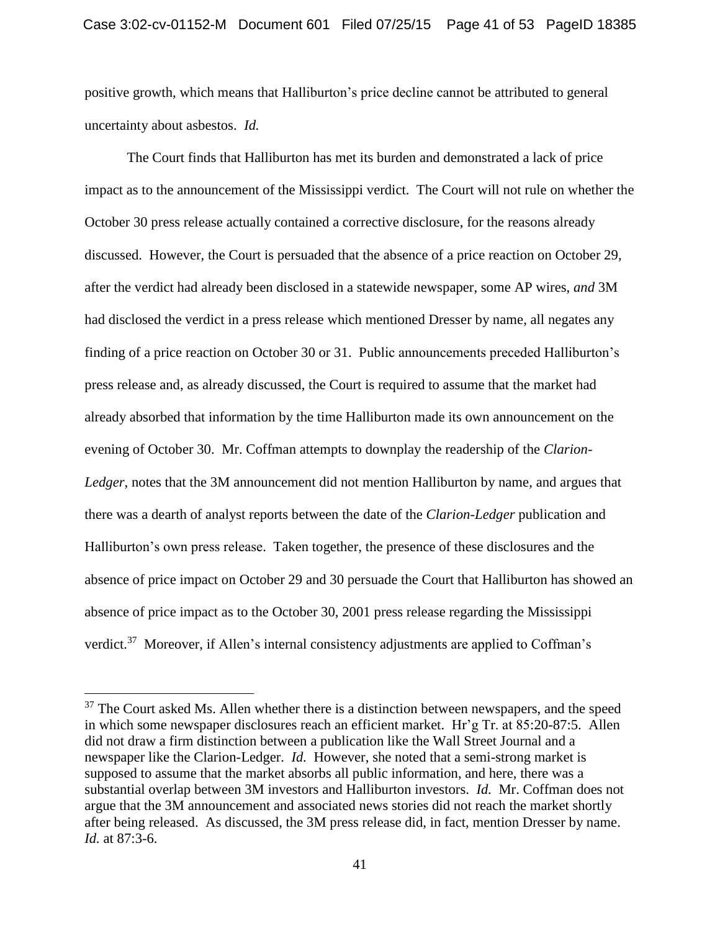positive growth, which means that Halliburton's price decline cannot be attributed to general uncertainty about asbestos. *Id.*

The Court finds that Halliburton has met its burden and demonstrated a lack of price impact as to the announcement of the Mississippi verdict. The Court will not rule on whether the October 30 press release actually contained a corrective disclosure, for the reasons already discussed. However, the Court is persuaded that the absence of a price reaction on October 29, after the verdict had already been disclosed in a statewide newspaper, some AP wires, *and* 3M had disclosed the verdict in a press release which mentioned Dresser by name, all negates any finding of a price reaction on October 30 or 31. Public announcements preceded Halliburton's press release and, as already discussed, the Court is required to assume that the market had already absorbed that information by the time Halliburton made its own announcement on the evening of October 30. Mr. Coffman attempts to downplay the readership of the *Clarion-Ledger*, notes that the 3M announcement did not mention Halliburton by name, and argues that there was a dearth of analyst reports between the date of the *Clarion-Ledger* publication and Halliburton's own press release. Taken together, the presence of these disclosures and the absence of price impact on October 29 and 30 persuade the Court that Halliburton has showed an absence of price impact as to the October 30, 2001 press release regarding the Mississippi verdict.<sup>37</sup> Moreover, if Allen's internal consistency adjustments are applied to Coffman's

 $37$  The Court asked Ms. Allen whether there is a distinction between newspapers, and the speed in which some newspaper disclosures reach an efficient market. Hr'g Tr. at 85:20-87:5. Allen did not draw a firm distinction between a publication like the Wall Street Journal and a newspaper like the Clarion-Ledger. *Id.* However, she noted that a semi-strong market is supposed to assume that the market absorbs all public information, and here, there was a substantial overlap between 3M investors and Halliburton investors. *Id.* Mr. Coffman does not argue that the 3M announcement and associated news stories did not reach the market shortly after being released. As discussed, the 3M press release did, in fact, mention Dresser by name. *Id.* at 87:3-6.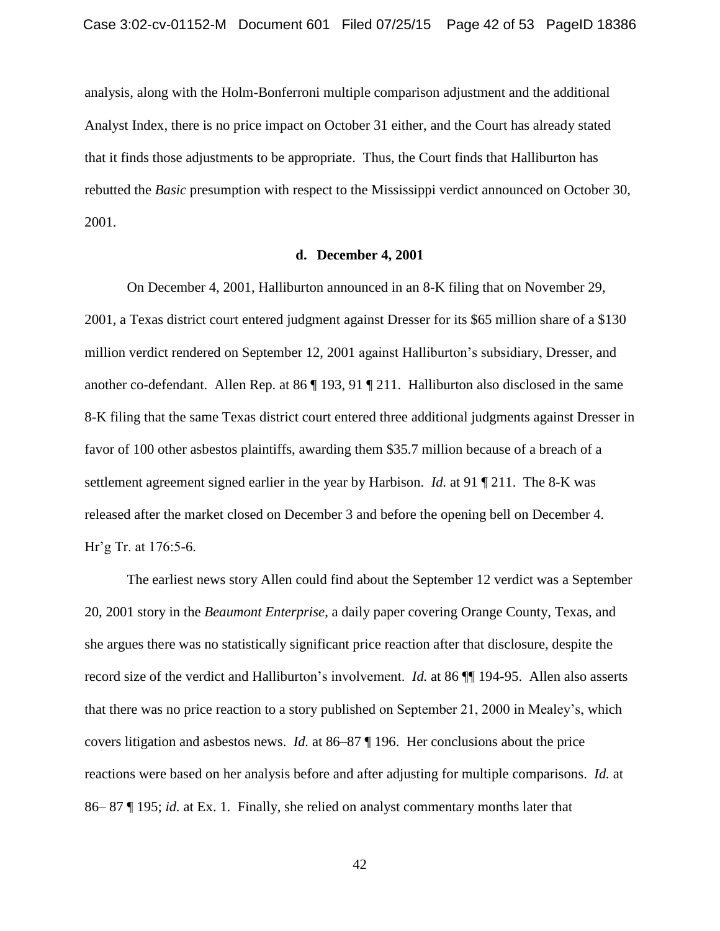analysis, along with the Holm-Bonferroni multiple comparison adjustment and the additional Analyst Index, there is no price impact on October 31 either, and the Court has already stated that it finds those adjustments to be appropriate. Thus, the Court finds that Halliburton has rebutted the *Basic* presumption with respect to the Mississippi verdict announced on October 30, 2001.

#### **d. December 4, 2001**

On December 4, 2001, Halliburton announced in an 8-K filing that on November 29, 2001, a Texas district court entered judgment against Dresser for its \$65 million share of a \$130 million verdict rendered on September 12, 2001 against Halliburton's subsidiary, Dresser, and another co-defendant. Allen Rep. at 86 ¶ 193, 91 ¶ 211. Halliburton also disclosed in the same 8-K filing that the same Texas district court entered three additional judgments against Dresser in favor of 100 other asbestos plaintiffs, awarding them \$35.7 million because of a breach of a settlement agreement signed earlier in the year by Harbison. *Id.* at 91 ¶ 211. The 8-K was released after the market closed on December 3 and before the opening bell on December 4. Hr'g Tr. at 176:5-6.

The earliest news story Allen could find about the September 12 verdict was a September 20, 2001 story in the *Beaumont Enterprise*, a daily paper covering Orange County, Texas, and she argues there was no statistically significant price reaction after that disclosure, despite the record size of the verdict and Halliburton's involvement. *Id.* at 86 ¶¶ 194-95. Allen also asserts that there was no price reaction to a story published on September 21, 2000 in Mealey's, which covers litigation and asbestos news. *Id.* at 86–87 ¶ 196. Her conclusions about the price reactions were based on her analysis before and after adjusting for multiple comparisons. *Id.* at 86– 87 ¶ 195; *id.* at Ex. 1. Finally, she relied on analyst commentary months later that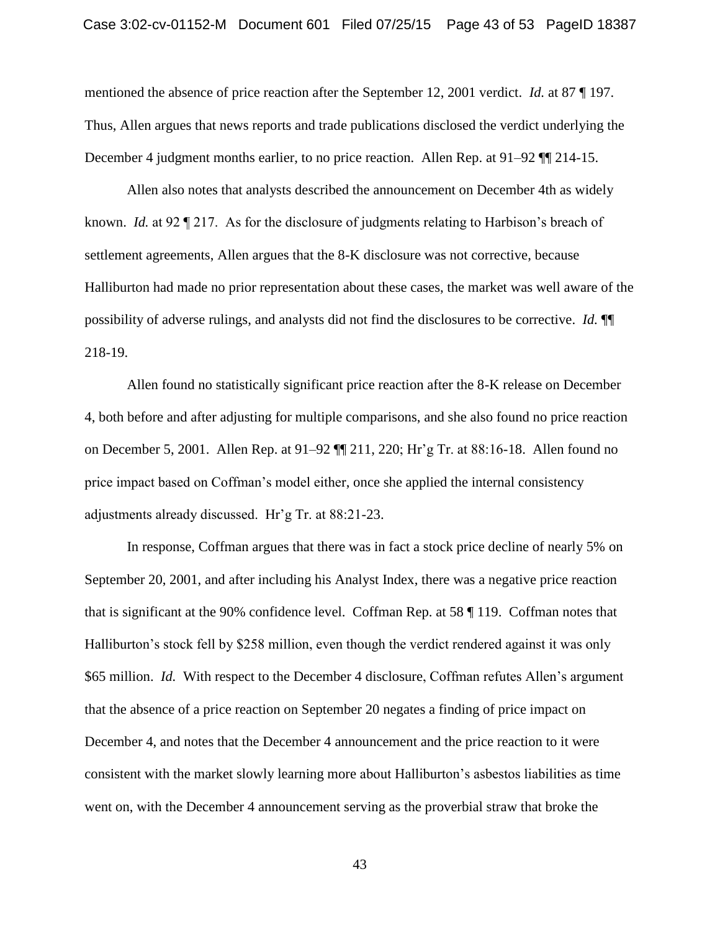mentioned the absence of price reaction after the September 12, 2001 verdict. *Id.* at 87 ¶ 197. Thus, Allen argues that news reports and trade publications disclosed the verdict underlying the December 4 judgment months earlier, to no price reaction. Allen Rep. at 91–92 ¶¶ 214-15.

Allen also notes that analysts described the announcement on December 4th as widely known. *Id.* at 92 ¶ 217. As for the disclosure of judgments relating to Harbison's breach of settlement agreements, Allen argues that the 8-K disclosure was not corrective, because Halliburton had made no prior representation about these cases, the market was well aware of the possibility of adverse rulings, and analysts did not find the disclosures to be corrective. *Id.* ¶¶ 218-19.

Allen found no statistically significant price reaction after the 8-K release on December 4, both before and after adjusting for multiple comparisons, and she also found no price reaction on December 5, 2001. Allen Rep. at 91–92 ¶¶ 211, 220; Hr'g Tr. at 88:16-18. Allen found no price impact based on Coffman's model either, once she applied the internal consistency adjustments already discussed. Hr'g Tr. at 88:21-23.

In response, Coffman argues that there was in fact a stock price decline of nearly 5% on September 20, 2001, and after including his Analyst Index, there was a negative price reaction that is significant at the 90% confidence level. Coffman Rep. at 58 ¶ 119. Coffman notes that Halliburton's stock fell by \$258 million, even though the verdict rendered against it was only \$65 million. *Id.* With respect to the December 4 disclosure, Coffman refutes Allen's argument that the absence of a price reaction on September 20 negates a finding of price impact on December 4, and notes that the December 4 announcement and the price reaction to it were consistent with the market slowly learning more about Halliburton's asbestos liabilities as time went on, with the December 4 announcement serving as the proverbial straw that broke the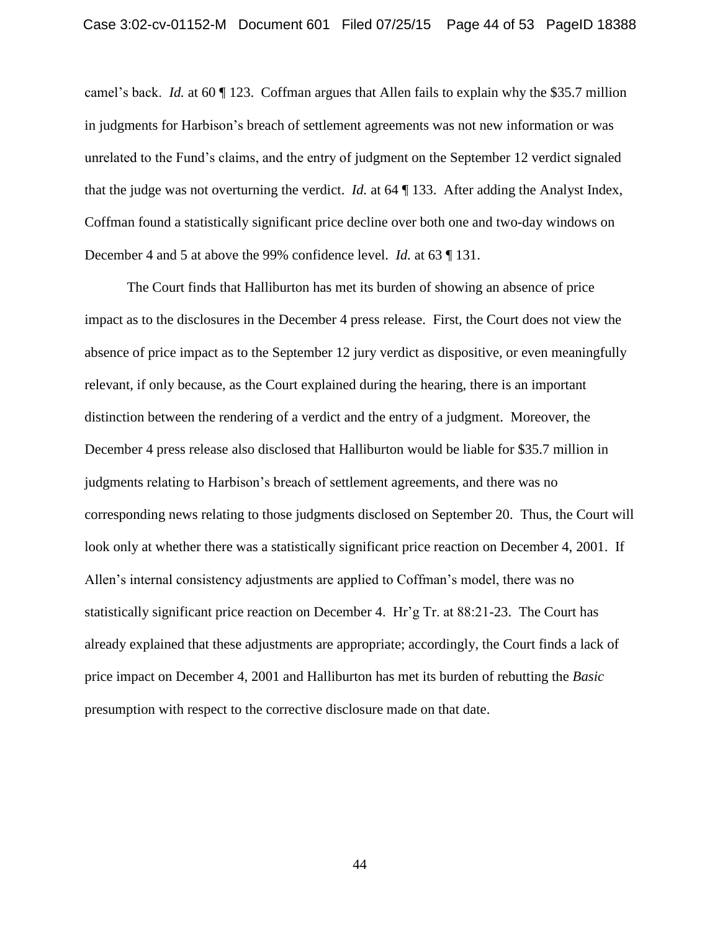camel's back. *Id.* at 60 ¶ 123. Coffman argues that Allen fails to explain why the \$35.7 million in judgments for Harbison's breach of settlement agreements was not new information or was unrelated to the Fund's claims, and the entry of judgment on the September 12 verdict signaled that the judge was not overturning the verdict. *Id.* at 64 ¶ 133. After adding the Analyst Index, Coffman found a statistically significant price decline over both one and two-day windows on December 4 and 5 at above the 99% confidence level. *Id.* at 63 ¶ 131.

The Court finds that Halliburton has met its burden of showing an absence of price impact as to the disclosures in the December 4 press release. First, the Court does not view the absence of price impact as to the September 12 jury verdict as dispositive, or even meaningfully relevant, if only because, as the Court explained during the hearing, there is an important distinction between the rendering of a verdict and the entry of a judgment. Moreover, the December 4 press release also disclosed that Halliburton would be liable for \$35.7 million in judgments relating to Harbison's breach of settlement agreements, and there was no corresponding news relating to those judgments disclosed on September 20. Thus, the Court will look only at whether there was a statistically significant price reaction on December 4, 2001. If Allen's internal consistency adjustments are applied to Coffman's model, there was no statistically significant price reaction on December 4. Hr'g Tr. at 88:21-23. The Court has already explained that these adjustments are appropriate; accordingly, the Court finds a lack of price impact on December 4, 2001 and Halliburton has met its burden of rebutting the *Basic* presumption with respect to the corrective disclosure made on that date.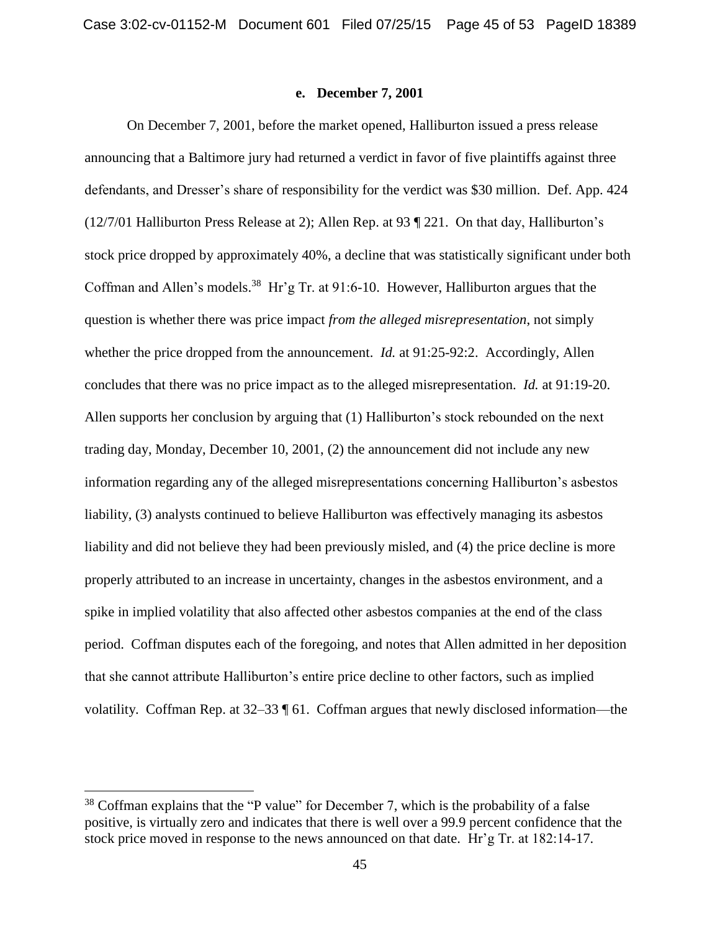## **e. December 7, 2001**

On December 7, 2001, before the market opened, Halliburton issued a press release announcing that a Baltimore jury had returned a verdict in favor of five plaintiffs against three defendants, and Dresser's share of responsibility for the verdict was \$30 million. Def. App. 424 (12/7/01 Halliburton Press Release at 2); Allen Rep. at 93 ¶ 221. On that day, Halliburton's stock price dropped by approximately 40%, a decline that was statistically significant under both Coffman and Allen's models.<sup>38</sup> Hr'g Tr. at 91:6-10. However, Halliburton argues that the question is whether there was price impact *from the alleged misrepresentation*, not simply whether the price dropped from the announcement. *Id.* at 91:25-92:2. Accordingly, Allen concludes that there was no price impact as to the alleged misrepresentation. *Id.* at 91:19-20. Allen supports her conclusion by arguing that (1) Halliburton's stock rebounded on the next trading day, Monday, December 10, 2001, (2) the announcement did not include any new information regarding any of the alleged misrepresentations concerning Halliburton's asbestos liability, (3) analysts continued to believe Halliburton was effectively managing its asbestos liability and did not believe they had been previously misled, and (4) the price decline is more properly attributed to an increase in uncertainty, changes in the asbestos environment, and a spike in implied volatility that also affected other asbestos companies at the end of the class period. Coffman disputes each of the foregoing, and notes that Allen admitted in her deposition that she cannot attribute Halliburton's entire price decline to other factors, such as implied volatility. Coffman Rep. at 32–33 ¶ 61. Coffman argues that newly disclosed information—the

 $38$  Coffman explains that the "P value" for December 7, which is the probability of a false positive, is virtually zero and indicates that there is well over a 99.9 percent confidence that the stock price moved in response to the news announced on that date. Hr'g Tr. at 182:14-17.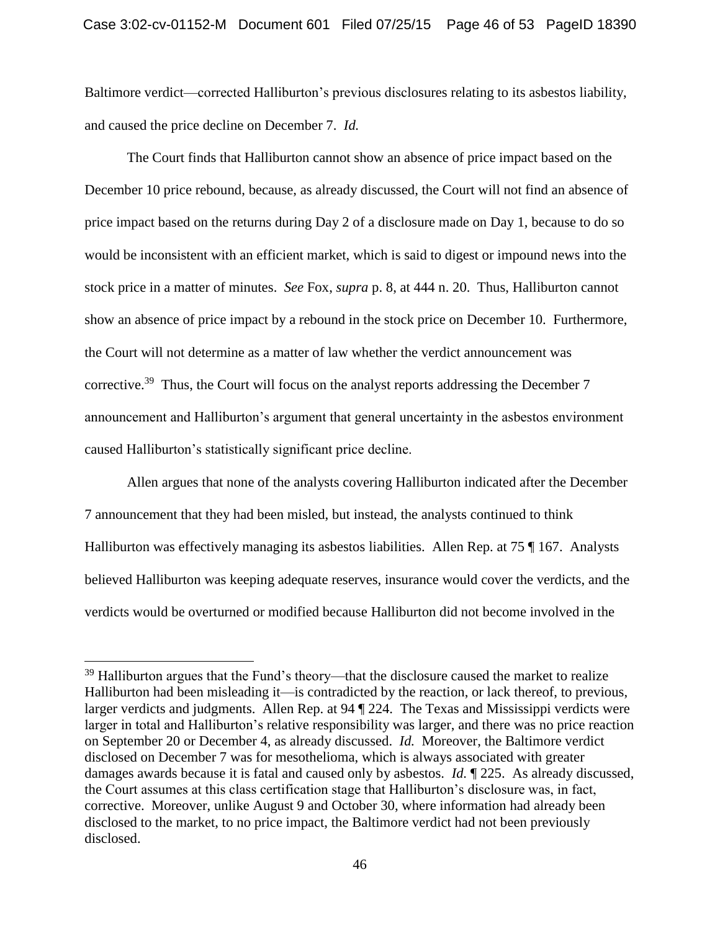Baltimore verdict—corrected Halliburton's previous disclosures relating to its asbestos liability, and caused the price decline on December 7. *Id.*

The Court finds that Halliburton cannot show an absence of price impact based on the December 10 price rebound, because, as already discussed, the Court will not find an absence of price impact based on the returns during Day 2 of a disclosure made on Day 1, because to do so would be inconsistent with an efficient market, which is said to digest or impound news into the stock price in a matter of minutes. *See* Fox, *supra* p. 8, at 444 n. 20. Thus, Halliburton cannot show an absence of price impact by a rebound in the stock price on December 10. Furthermore, the Court will not determine as a matter of law whether the verdict announcement was corrective.<sup>39</sup> Thus, the Court will focus on the analyst reports addressing the December 7 announcement and Halliburton's argument that general uncertainty in the asbestos environment caused Halliburton's statistically significant price decline.

Allen argues that none of the analysts covering Halliburton indicated after the December 7 announcement that they had been misled, but instead, the analysts continued to think Halliburton was effectively managing its asbestos liabilities. Allen Rep. at 75 ¶ 167. Analysts believed Halliburton was keeping adequate reserves, insurance would cover the verdicts, and the verdicts would be overturned or modified because Halliburton did not become involved in the

 $39$  Halliburton argues that the Fund's theory—that the disclosure caused the market to realize Halliburton had been misleading it—is contradicted by the reaction, or lack thereof, to previous, larger verdicts and judgments. Allen Rep. at 94 ¶ 224. The Texas and Mississippi verdicts were larger in total and Halliburton's relative responsibility was larger, and there was no price reaction on September 20 or December 4, as already discussed. *Id.* Moreover, the Baltimore verdict disclosed on December 7 was for mesothelioma, which is always associated with greater damages awards because it is fatal and caused only by asbestos. *Id.* ¶ 225. As already discussed, the Court assumes at this class certification stage that Halliburton's disclosure was, in fact, corrective. Moreover, unlike August 9 and October 30, where information had already been disclosed to the market, to no price impact, the Baltimore verdict had not been previously disclosed.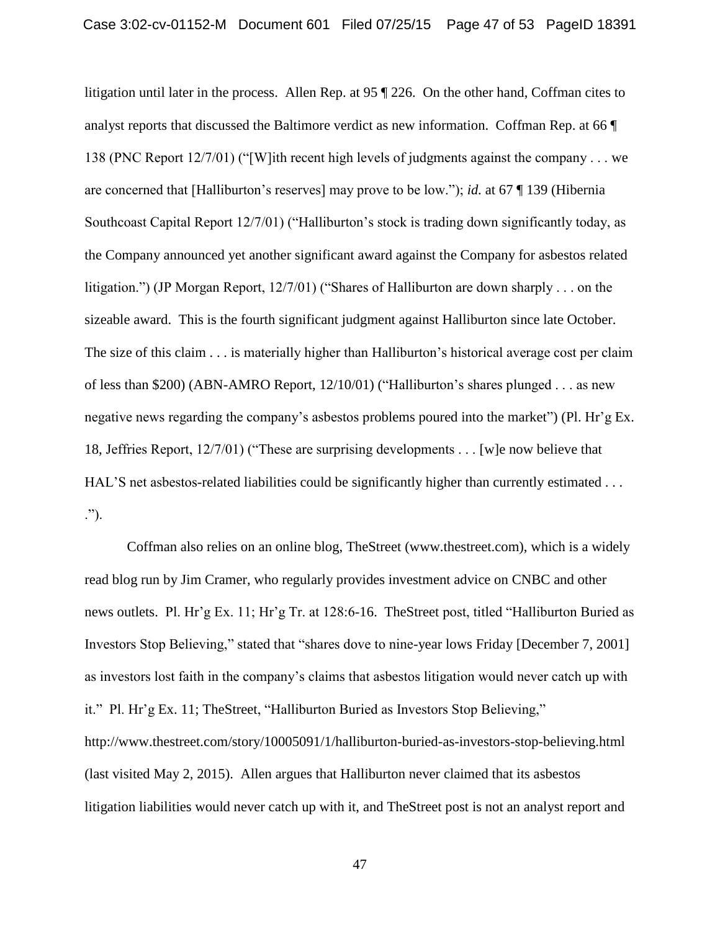litigation until later in the process. Allen Rep. at 95 ¶ 226. On the other hand, Coffman cites to analyst reports that discussed the Baltimore verdict as new information. Coffman Rep. at 66 ¶ 138 (PNC Report 12/7/01) ("[W]ith recent high levels of judgments against the company . . . we are concerned that [Halliburton's reserves] may prove to be low."); *id.* at 67 ¶ 139 (Hibernia Southcoast Capital Report 12/7/01) ("Halliburton's stock is trading down significantly today, as the Company announced yet another significant award against the Company for asbestos related litigation.") (JP Morgan Report, 12/7/01) ("Shares of Halliburton are down sharply . . . on the sizeable award. This is the fourth significant judgment against Halliburton since late October. The size of this claim . . . is materially higher than Halliburton's historical average cost per claim of less than \$200) (ABN-AMRO Report, 12/10/01) ("Halliburton's shares plunged . . . as new negative news regarding the company's asbestos problems poured into the market") (Pl. Hr'g Ex. 18, Jeffries Report, 12/7/01) ("These are surprising developments . . . [w]e now believe that HAL'S net asbestos-related liabilities could be significantly higher than currently estimated . . . .").

Coffman also relies on an online blog, TheStreet (www.thestreet.com), which is a widely read blog run by Jim Cramer, who regularly provides investment advice on CNBC and other news outlets. Pl. Hr'g Ex. 11; Hr'g Tr. at 128:6-16. TheStreet post, titled "Halliburton Buried as Investors Stop Believing," stated that "shares dove to nine-year lows Friday [December 7, 2001] as investors lost faith in the company's claims that asbestos litigation would never catch up with it." Pl. Hr'g Ex. 11; TheStreet, "Halliburton Buried as Investors Stop Believing," http://www.thestreet.com/story/10005091/1/halliburton-buried-as-investors-stop-believing.html (last visited May 2, 2015). Allen argues that Halliburton never claimed that its asbestos litigation liabilities would never catch up with it, and TheStreet post is not an analyst report and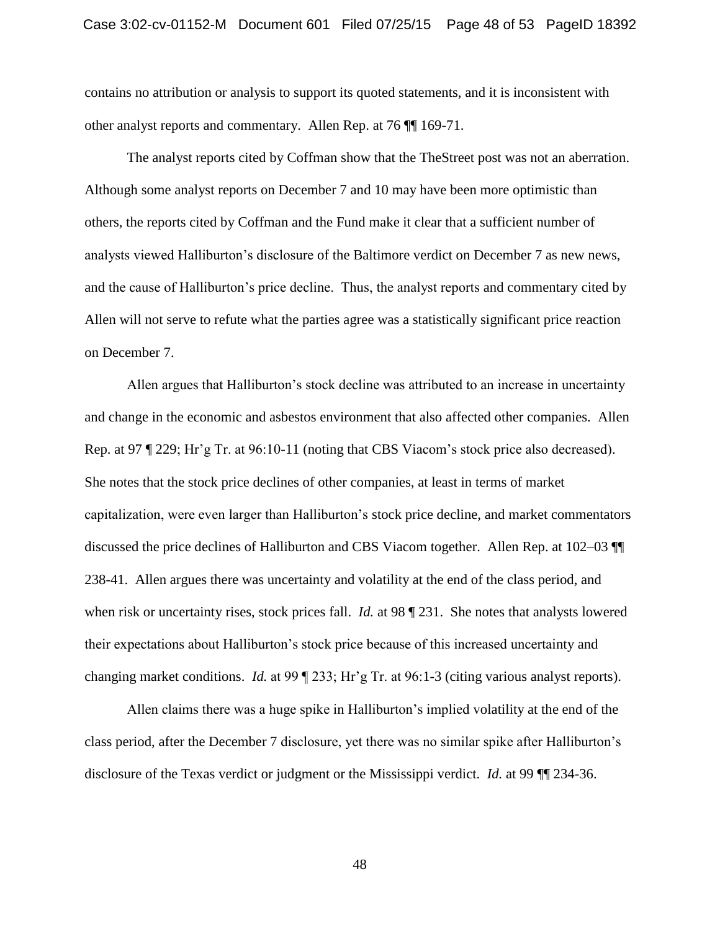contains no attribution or analysis to support its quoted statements, and it is inconsistent with other analyst reports and commentary. Allen Rep. at 76 ¶¶ 169-71.

The analyst reports cited by Coffman show that the TheStreet post was not an aberration. Although some analyst reports on December 7 and 10 may have been more optimistic than others, the reports cited by Coffman and the Fund make it clear that a sufficient number of analysts viewed Halliburton's disclosure of the Baltimore verdict on December 7 as new news, and the cause of Halliburton's price decline. Thus, the analyst reports and commentary cited by Allen will not serve to refute what the parties agree was a statistically significant price reaction on December 7.

Allen argues that Halliburton's stock decline was attributed to an increase in uncertainty and change in the economic and asbestos environment that also affected other companies. Allen Rep. at 97 ¶ 229; Hr'g Tr. at 96:10-11 (noting that CBS Viacom's stock price also decreased). She notes that the stock price declines of other companies, at least in terms of market capitalization, were even larger than Halliburton's stock price decline, and market commentators discussed the price declines of Halliburton and CBS Viacom together. Allen Rep. at 102–03 ¶¶ 238-41. Allen argues there was uncertainty and volatility at the end of the class period, and when risk or uncertainty rises, stock prices fall. *Id.* at 98 ¶ 231. She notes that analysts lowered their expectations about Halliburton's stock price because of this increased uncertainty and changing market conditions. *Id.* at 99 ¶ 233; Hr'g Tr. at 96:1-3 (citing various analyst reports).

Allen claims there was a huge spike in Halliburton's implied volatility at the end of the class period, after the December 7 disclosure, yet there was no similar spike after Halliburton's disclosure of the Texas verdict or judgment or the Mississippi verdict. *Id.* at 99 ¶¶ 234-36.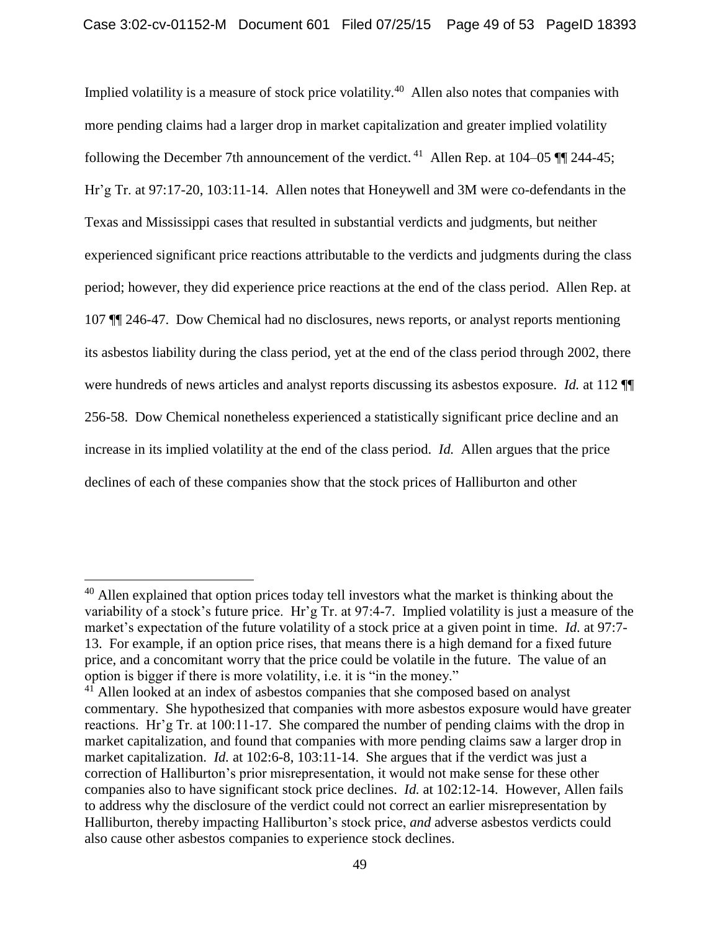Implied volatility is a measure of stock price volatility.<sup>40</sup> Allen also notes that companies with more pending claims had a larger drop in market capitalization and greater implied volatility following the December 7th announcement of the verdict. <sup>41</sup> Allen Rep. at 104–05  $\P$  244-45; Hr'g Tr. at 97:17-20, 103:11-14. Allen notes that Honeywell and 3M were co-defendants in the Texas and Mississippi cases that resulted in substantial verdicts and judgments, but neither experienced significant price reactions attributable to the verdicts and judgments during the class period; however, they did experience price reactions at the end of the class period. Allen Rep. at 107 ¶¶ 246-47. Dow Chemical had no disclosures, news reports, or analyst reports mentioning its asbestos liability during the class period, yet at the end of the class period through 2002, there were hundreds of news articles and analyst reports discussing its asbestos exposure. *Id.* at 112 ¶¶ 256-58. Dow Chemical nonetheless experienced a statistically significant price decline and an increase in its implied volatility at the end of the class period. *Id.* Allen argues that the price declines of each of these companies show that the stock prices of Halliburton and other

 $40$  Allen explained that option prices today tell investors what the market is thinking about the variability of a stock's future price. Hr'g Tr. at 97:4-7. Implied volatility is just a measure of the market's expectation of the future volatility of a stock price at a given point in time. *Id.* at 97:7- 13. For example, if an option price rises, that means there is a high demand for a fixed future price, and a concomitant worry that the price could be volatile in the future. The value of an option is bigger if there is more volatility, i.e. it is "in the money."

<sup>&</sup>lt;sup>41</sup> Allen looked at an index of asbestos companies that she composed based on analyst commentary. She hypothesized that companies with more asbestos exposure would have greater reactions. Hr'g Tr. at 100:11-17. She compared the number of pending claims with the drop in market capitalization, and found that companies with more pending claims saw a larger drop in market capitalization. *Id.* at 102:6-8, 103:11-14. She argues that if the verdict was just a correction of Halliburton's prior misrepresentation, it would not make sense for these other companies also to have significant stock price declines. *Id.* at 102:12-14. However, Allen fails to address why the disclosure of the verdict could not correct an earlier misrepresentation by Halliburton, thereby impacting Halliburton's stock price, *and* adverse asbestos verdicts could also cause other asbestos companies to experience stock declines.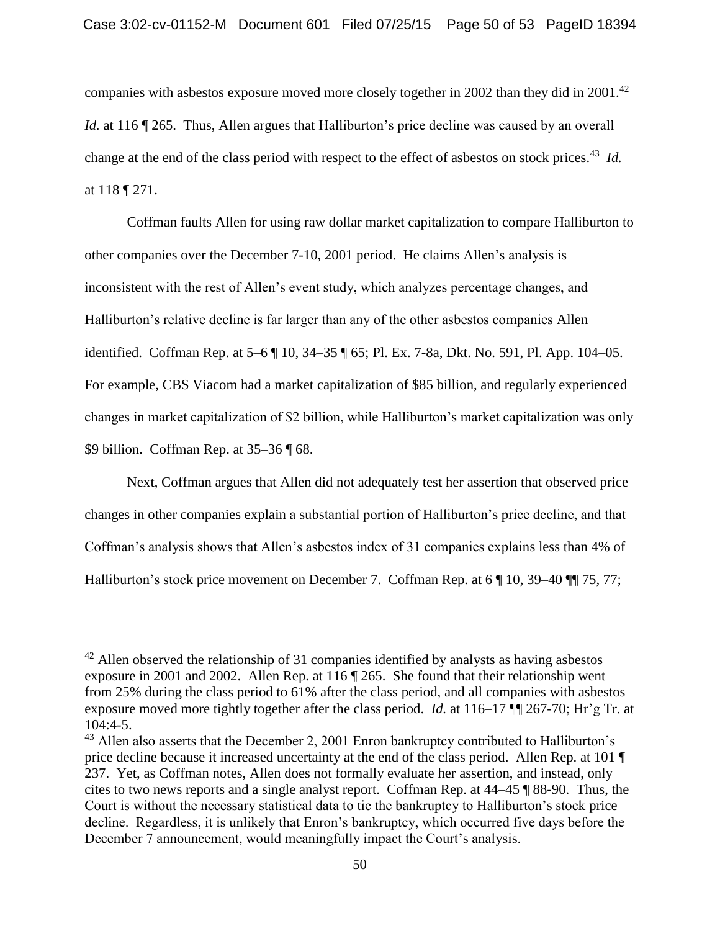companies with asbestos exposure moved more closely together in 2002 than they did in 2001.<sup>42</sup> *Id.* at 116 ¶ 265. Thus, Allen argues that Halliburton's price decline was caused by an overall change at the end of the class period with respect to the effect of asbestos on stock prices.<sup>43</sup> *Id.* at 118 ¶ 271.

Coffman faults Allen for using raw dollar market capitalization to compare Halliburton to other companies over the December 7-10, 2001 period. He claims Allen's analysis is inconsistent with the rest of Allen's event study, which analyzes percentage changes, and Halliburton's relative decline is far larger than any of the other asbestos companies Allen identified. Coffman Rep. at 5–6 ¶ 10, 34–35 ¶ 65; Pl. Ex. 7-8a, Dkt. No. 591, Pl. App. 104–05. For example, CBS Viacom had a market capitalization of \$85 billion, and regularly experienced changes in market capitalization of \$2 billion, while Halliburton's market capitalization was only \$9 billion. Coffman Rep. at 35–36 ¶ 68.

Next, Coffman argues that Allen did not adequately test her assertion that observed price changes in other companies explain a substantial portion of Halliburton's price decline, and that Coffman's analysis shows that Allen's asbestos index of 31 companies explains less than 4% of Halliburton's stock price movement on December 7. Coffman Rep. at 6 | 10, 39–40 | 75, 77;

 $42$  Allen observed the relationship of 31 companies identified by analysts as having asbestos exposure in 2001 and 2002. Allen Rep. at 116 ¶ 265. She found that their relationship went from 25% during the class period to 61% after the class period, and all companies with asbestos exposure moved more tightly together after the class period. *Id.* at 116–17 ¶¶ 267-70; Hr'g Tr. at 104:4-5.

 $43$  Allen also asserts that the December 2, 2001 Enron bankruptcy contributed to Halliburton's price decline because it increased uncertainty at the end of the class period. Allen Rep. at 101 ¶ 237. Yet, as Coffman notes, Allen does not formally evaluate her assertion, and instead, only cites to two news reports and a single analyst report. Coffman Rep. at 44–45 ¶ 88-90. Thus, the Court is without the necessary statistical data to tie the bankruptcy to Halliburton's stock price decline. Regardless, it is unlikely that Enron's bankruptcy, which occurred five days before the December 7 announcement, would meaningfully impact the Court's analysis.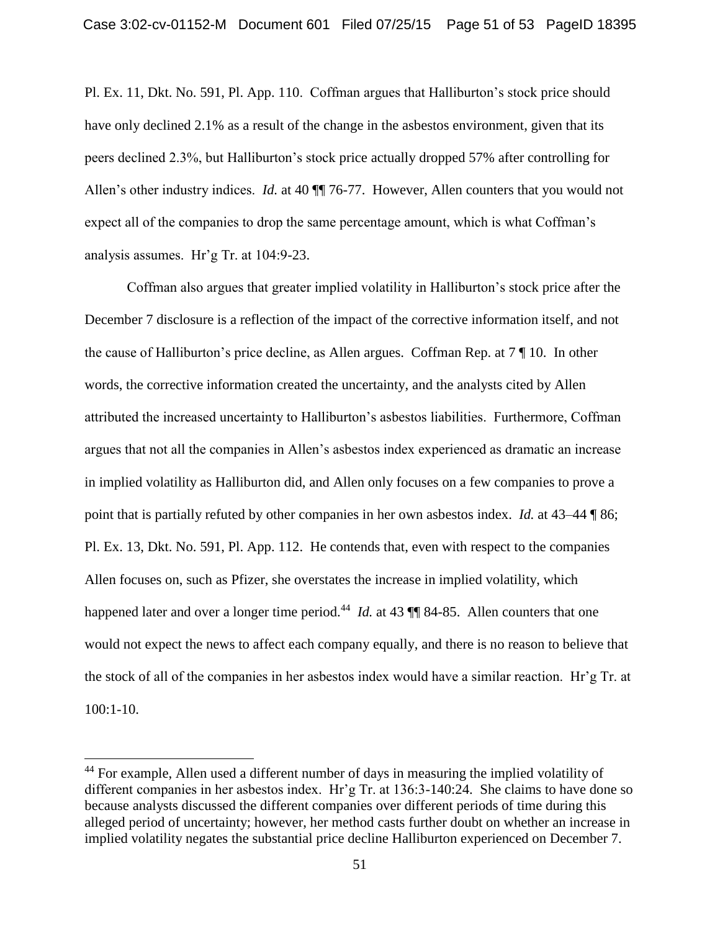Pl. Ex. 11, Dkt. No. 591, Pl. App. 110. Coffman argues that Halliburton's stock price should have only declined 2.1% as a result of the change in the asbestos environment, given that its peers declined 2.3%, but Halliburton's stock price actually dropped 57% after controlling for Allen's other industry indices. *Id.* at 40  $\P$  76-77. However, Allen counters that you would not expect all of the companies to drop the same percentage amount, which is what Coffman's analysis assumes. Hr'g Tr. at 104:9-23.

Coffman also argues that greater implied volatility in Halliburton's stock price after the December 7 disclosure is a reflection of the impact of the corrective information itself, and not the cause of Halliburton's price decline, as Allen argues. Coffman Rep. at 7 ¶ 10. In other words, the corrective information created the uncertainty, and the analysts cited by Allen attributed the increased uncertainty to Halliburton's asbestos liabilities. Furthermore, Coffman argues that not all the companies in Allen's asbestos index experienced as dramatic an increase in implied volatility as Halliburton did, and Allen only focuses on a few companies to prove a point that is partially refuted by other companies in her own asbestos index. *Id.* at 43–44 ¶ 86; Pl. Ex. 13, Dkt. No. 591, Pl. App. 112. He contends that, even with respect to the companies Allen focuses on, such as Pfizer, she overstates the increase in implied volatility, which happened later and over a longer time period.<sup>44</sup> *Id.* at 43 ¶ 84-85. Allen counters that one would not expect the news to affect each company equally, and there is no reason to believe that the stock of all of the companies in her asbestos index would have a similar reaction. Hr'g Tr. at 100:1-10.

<sup>&</sup>lt;sup>44</sup> For example, Allen used a different number of days in measuring the implied volatility of different companies in her asbestos index. Hr'g Tr. at 136:3-140:24. She claims to have done so because analysts discussed the different companies over different periods of time during this alleged period of uncertainty; however, her method casts further doubt on whether an increase in implied volatility negates the substantial price decline Halliburton experienced on December 7.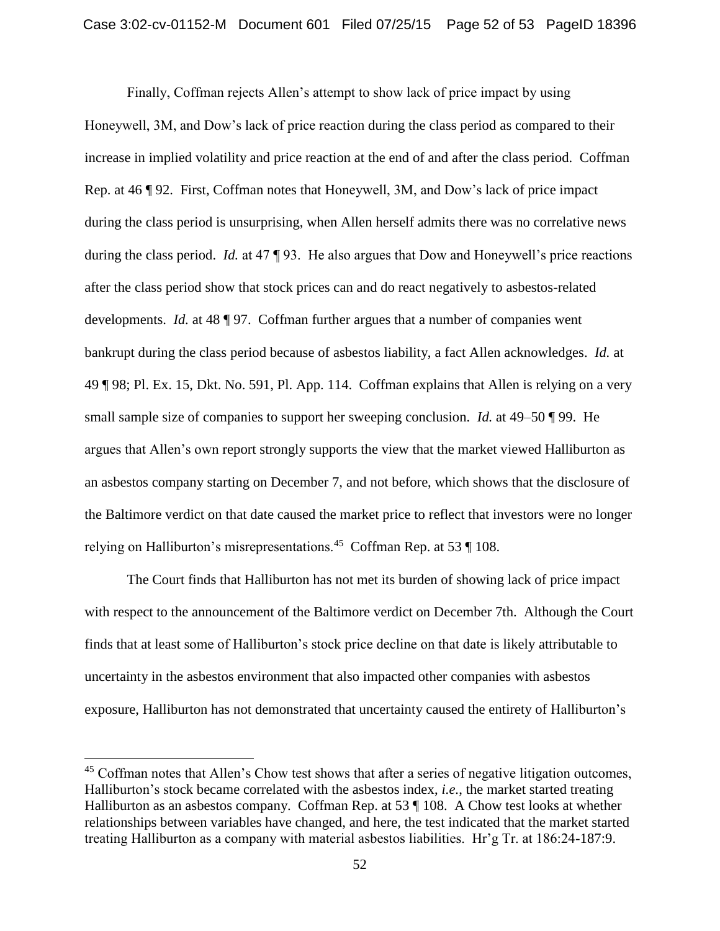Finally, Coffman rejects Allen's attempt to show lack of price impact by using Honeywell, 3M, and Dow's lack of price reaction during the class period as compared to their increase in implied volatility and price reaction at the end of and after the class period. Coffman Rep. at 46 ¶ 92. First, Coffman notes that Honeywell, 3M, and Dow's lack of price impact during the class period is unsurprising, when Allen herself admits there was no correlative news during the class period. *Id.* at 47 ¶ 93. He also argues that Dow and Honeywell's price reactions after the class period show that stock prices can and do react negatively to asbestos-related developments. *Id.* at 48 ¶ 97. Coffman further argues that a number of companies went bankrupt during the class period because of asbestos liability, a fact Allen acknowledges. *Id.* at 49 ¶ 98; Pl. Ex. 15, Dkt. No. 591, Pl. App. 114. Coffman explains that Allen is relying on a very small sample size of companies to support her sweeping conclusion. *Id.* at 49–50 ¶ 99. He argues that Allen's own report strongly supports the view that the market viewed Halliburton as an asbestos company starting on December 7, and not before, which shows that the disclosure of the Baltimore verdict on that date caused the market price to reflect that investors were no longer relying on Halliburton's misrepresentations.<sup>45</sup> Coffman Rep. at 53 ¶ 108.

The Court finds that Halliburton has not met its burden of showing lack of price impact with respect to the announcement of the Baltimore verdict on December 7th. Although the Court finds that at least some of Halliburton's stock price decline on that date is likely attributable to uncertainty in the asbestos environment that also impacted other companies with asbestos exposure, Halliburton has not demonstrated that uncertainty caused the entirety of Halliburton's

<sup>&</sup>lt;sup>45</sup> Coffman notes that Allen's Chow test shows that after a series of negative litigation outcomes, Halliburton's stock became correlated with the asbestos index, *i.e.*, the market started treating Halliburton as an asbestos company. Coffman Rep. at 53 ¶ 108. A Chow test looks at whether relationships between variables have changed, and here, the test indicated that the market started treating Halliburton as a company with material asbestos liabilities. Hr'g Tr. at 186:24-187:9.